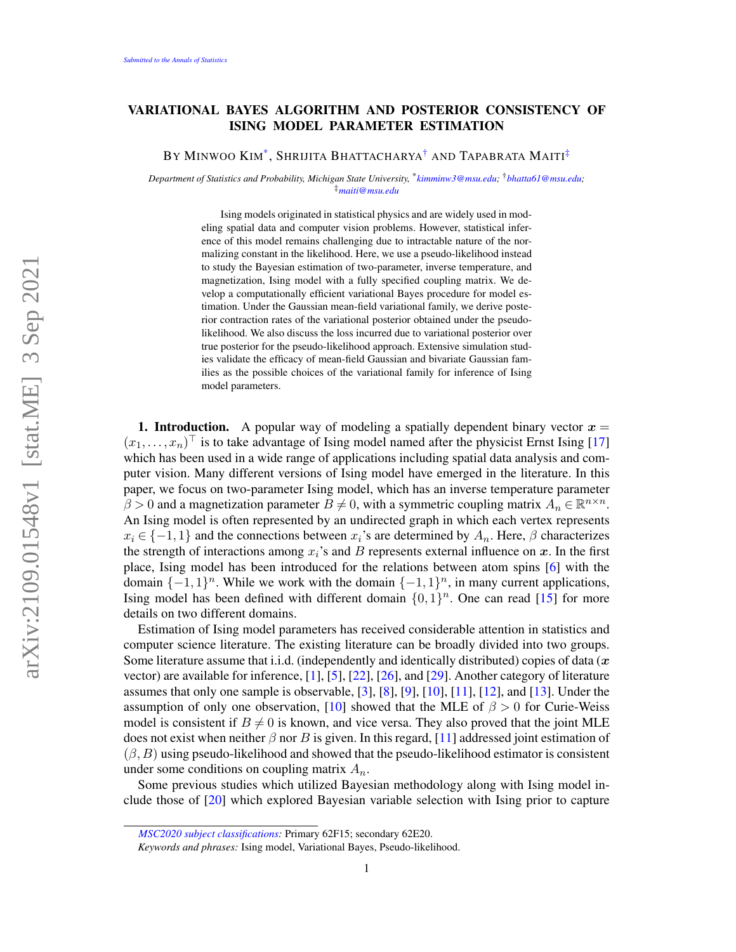## VARIATIONAL BAYES ALGORITHM AND POSTERIOR CONSISTENCY OF ISING MODEL PARAMETER ESTIMATION

By Minwoo Kim[\\*](#page-0-0), Shrijita Bhattacharya[†](#page-0-1) and Tapabrata Maiti[‡](#page-0-2)

*Department of Statistics and Probability, Michigan State University,* \* *[kimminw3@msu.edu;](mailto:kimminw3@msu.edu)* †*[bhatta61@msu.edu;](mailto:bhatta61@msu.edu)* ‡*[maiti@msu.edu](mailto:maiti@msu.edu)*

> <span id="page-0-2"></span><span id="page-0-1"></span><span id="page-0-0"></span>Ising models originated in statistical physics and are widely used in modeling spatial data and computer vision problems. However, statistical inference of this model remains challenging due to intractable nature of the normalizing constant in the likelihood. Here, we use a pseudo-likelihood instead to study the Bayesian estimation of two-parameter, inverse temperature, and magnetization, Ising model with a fully specified coupling matrix. We develop a computationally efficient variational Bayes procedure for model estimation. Under the Gaussian mean-field variational family, we derive posterior contraction rates of the variational posterior obtained under the pseudolikelihood. We also discuss the loss incurred due to variational posterior over true posterior for the pseudo-likelihood approach. Extensive simulation studies validate the efficacy of mean-field Gaussian and bivariate Gaussian families as the possible choices of the variational family for inference of Ising model parameters.

**1. Introduction.** A popular way of modeling a spatially dependent binary vector  $x =$  $(x_1, \ldots, x_n)^\top$  is to take advantage of Ising model named after the physicist Ernst Ising [\[17\]](#page-25-0) which has been used in a wide range of applications including spatial data analysis and computer vision. Many different versions of Ising model have emerged in the literature. In this paper, we focus on two-parameter Ising model, which has an inverse temperature parameter  $\overline{\beta} > 0$  and a magnetization parameter  $\overline{B} \neq 0$ , with a symmetric coupling matrix  $A_n \in \mathbb{R}^{n \times n}$ . An Ising model is often represented by an undirected graph in which each vertex represents  $x_i \in \{-1,1\}$  and the connections between  $x_i$ 's are determined by  $A_n$ . Here,  $\beta$  characterizes the strength of interactions among  $x_i$ 's and B represents external influence on x. In the first place, Ising model has been introduced for the relations between atom spins [\[6\]](#page-25-1) with the domain  $\{-1,1\}^n$ . While we work with the domain  $\{-1,1\}^n$ , in many current applications, Ising model has been defined with different domain  $\{0,1\}^n$ . One can read [\[15\]](#page-25-2) for more details on two different domains.

Estimation of Ising model parameters has received considerable attention in statistics and computer science literature. The existing literature can be broadly divided into two groups. Some literature assume that i.i.d. (independently and identically distributed) copies of data  $(x)$ vector) are available for inference, [\[1\]](#page-25-3), [\[5\]](#page-25-4), [\[22\]](#page-25-5), [\[26\]](#page-26-0), and [\[29\]](#page-26-1). Another category of literature assumes that only one sample is observable, [\[3\]](#page-25-6), [\[8\]](#page-25-7), [\[9\]](#page-25-8), [\[10\]](#page-25-9), [\[11\]](#page-25-10), [\[12\]](#page-25-11), and [\[13\]](#page-25-12). Under the assumption of only one observation, [\[10\]](#page-25-9) showed that the MLE of  $\beta > 0$  for Curie-Weiss model is consistent if  $B \neq 0$  is known, and vice versa. They also proved that the joint MLE does not exist when neither  $\beta$  nor B is given. In this regard, [\[11\]](#page-25-10) addressed joint estimation of  $(\beta, B)$  using pseudo-likelihood and showed that the pseudo-likelihood estimator is consistent under some conditions on coupling matrix  $A_n$ .

Some previous studies which utilized Bayesian methodology along with Ising model include those of [\[20\]](#page-25-13) which explored Bayesian variable selection with Ising prior to capture

*[MSC2020 subject classifications:](https://mathscinet.ams.org/mathscinet/msc/msc2020.html)* Primary 62F15; secondary 62E20.

*Keywords and phrases:* Ising model, Variational Bayes, Pseudo-likelihood.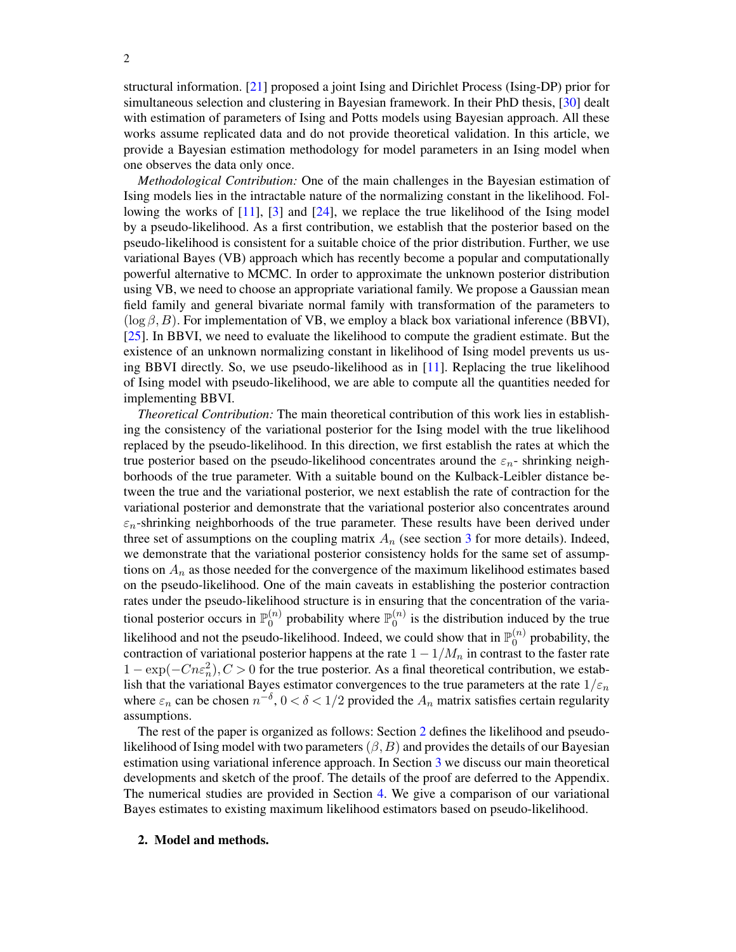structural information. [\[21\]](#page-25-14) proposed a joint Ising and Dirichlet Process (Ising-DP) prior for simultaneous selection and clustering in Bayesian framework. In their PhD thesis, [\[30\]](#page-26-2) dealt with estimation of parameters of Ising and Potts models using Bayesian approach. All these works assume replicated data and do not provide theoretical validation. In this article, we provide a Bayesian estimation methodology for model parameters in an Ising model when one observes the data only once.

*Methodological Contribution:* One of the main challenges in the Bayesian estimation of Ising models lies in the intractable nature of the normalizing constant in the likelihood. Following the works of [\[11\]](#page-25-10), [\[3\]](#page-25-6) and [\[24\]](#page-25-15), we replace the true likelihood of the Ising model by a pseudo-likelihood. As a first contribution, we establish that the posterior based on the pseudo-likelihood is consistent for a suitable choice of the prior distribution. Further, we use variational Bayes (VB) approach which has recently become a popular and computationally powerful alternative to MCMC. In order to approximate the unknown posterior distribution using VB, we need to choose an appropriate variational family. We propose a Gaussian mean field family and general bivariate normal family with transformation of the parameters to  $(\log \beta, B)$ . For implementation of VB, we employ a black box variational inference (BBVI), [\[25\]](#page-25-16). In BBVI, we need to evaluate the likelihood to compute the gradient estimate. But the existence of an unknown normalizing constant in likelihood of Ising model prevents us using BBVI directly. So, we use pseudo-likelihood as in [\[11\]](#page-25-10). Replacing the true likelihood of Ising model with pseudo-likelihood, we are able to compute all the quantities needed for implementing BBVI.

*Theoretical Contribution:* The main theoretical contribution of this work lies in establishing the consistency of the variational posterior for the Ising model with the true likelihood replaced by the pseudo-likelihood. In this direction, we first establish the rates at which the true posterior based on the pseudo-likelihood concentrates around the  $\varepsilon_n$ -shrinking neighborhoods of the true parameter. With a suitable bound on the Kulback-Leibler distance between the true and the variational posterior, we next establish the rate of contraction for the variational posterior and demonstrate that the variational posterior also concentrates around  $\varepsilon_n$ -shrinking neighborhoods of the true parameter. These results have been derived under three set of assumptions on the coupling matrix  $A_n$  (see section [3](#page-4-0) for more details). Indeed, we demonstrate that the variational posterior consistency holds for the same set of assumptions on  $A_n$  as those needed for the convergence of the maximum likelihood estimates based on the pseudo-likelihood. One of the main caveats in establishing the posterior contraction rates under the pseudo-likelihood structure is in ensuring that the concentration of the variational posterior occurs in  $\mathbb{P}_0^{(n)}$  $\mathbb{D}_0^{(n)}$  probability where  $\mathbb{P}_0^{(n)}$  $\binom{n}{0}$  is the distribution induced by the true likelihood and not the pseudo-likelihood. Indeed, we could show that in  $\mathbb{P}_0^{(n)}$  $\binom{n}{0}$  probability, the contraction of variational posterior happens at the rate  $1 - 1/M_n$  in contrast to the faster rate  $1 - \exp(-Cn\epsilon_n^2)$ ,  $C > 0$  for the true posterior. As a final theoretical contribution, we establish that the variational Bayes estimator convergences to the true parameters at the rate  $1/\varepsilon_n$ where  $\varepsilon_n$  can be chosen  $n^{-\delta}$ ,  $0 < \delta < 1/2$  provided the  $A_n$  matrix satisfies certain regularity assumptions.

The rest of the paper is organized as follows: Section [2](#page-1-0) defines the likelihood and pseudolikelihood of Ising model with two parameters  $(\beta, B)$  and provides the details of our Bayesian estimation using variational inference approach. In Section [3](#page-4-0) we discuss our main theoretical developments and sketch of the proof. The details of the proof are deferred to the Appendix. The numerical studies are provided in Section [4.](#page-7-0) We give a comparison of our variational Bayes estimates to existing maximum likelihood estimators based on pseudo-likelihood.

#### <span id="page-1-0"></span>2. Model and methods.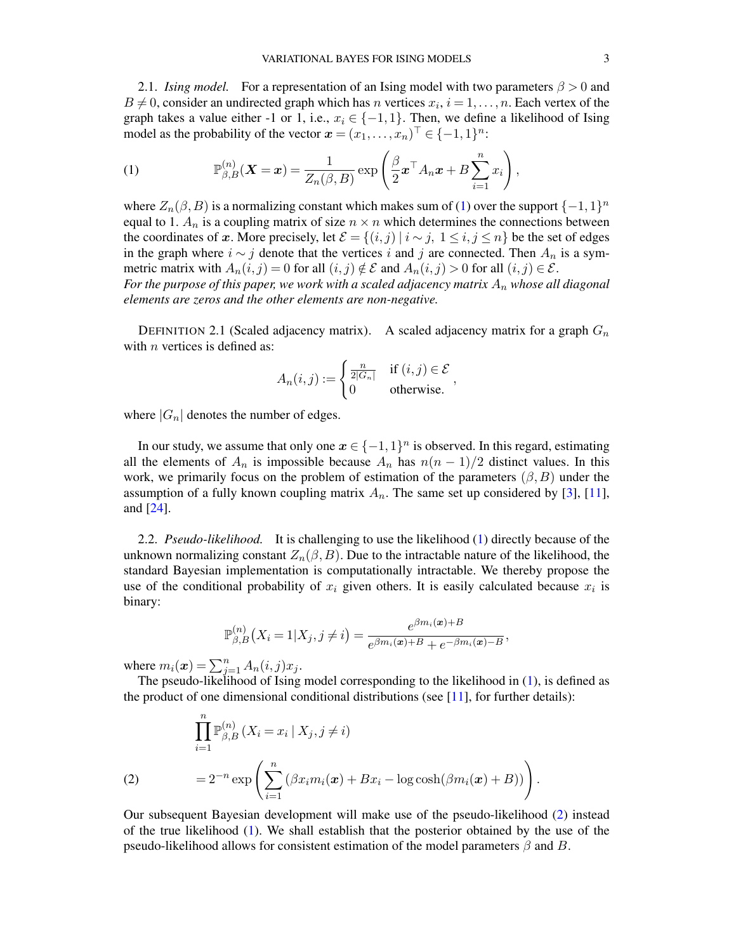2.1. *Ising model.* For a representation of an Ising model with two parameters  $\beta > 0$  and  $B \neq 0$ , consider an undirected graph which has n vertices  $x_i$ ,  $i = 1, ..., n$ . Each vertex of the graph takes a value either -1 or 1, i.e.,  $x_i \in \{-1, 1\}$ . Then, we define a likelihood of Ising model as the probability of the vector  $\boldsymbol{x} = (x_1, \dots, x_n)^\top \in \{-1, 1\}^n$ :

<span id="page-2-0"></span>(1) 
$$
\mathbb{P}_{\beta,B}^{(n)}(\boldsymbol{X}=\boldsymbol{x})=\frac{1}{Z_n(\beta,B)}\exp\left(\frac{\beta}{2}\boldsymbol{x}^\top A_n\boldsymbol{x}+B\sum_{i=1}^nx_i\right),
$$

where  $Z_n(\beta, B)$  is a normalizing constant which makes sum of [\(1\)](#page-2-0) over the support  $\{-1, 1\}^n$ equal to 1.  $A_n$  is a coupling matrix of size  $n \times n$  which determines the connections between the coordinates of x. More precisely, let  $\mathcal{E} = \{(i, j) | i \sim j, 1 \le i, j \le n\}$  be the set of edges in the graph where  $i \sim j$  denote that the vertices i and j are connected. Then  $A_n$  is a symmetric matrix with  $A_n(i, j) = 0$  for all  $(i, j) \notin \mathcal{E}$  and  $A_n(i, j) > 0$  for all  $(i, j) \in \mathcal{E}$ .

For the purpose of this paper, we work with a scaled adjacency matrix  $A_n$  whose all diagonal *elements are zeros and the other elements are non-negative.*

DEFINITION 2.1 (Scaled adjacency matrix). A scaled adjacency matrix for a graph  $G_n$ with  $n$  vertices is defined as:

$$
A_n(i,j) := \begin{cases} \frac{n}{2|G_n|} & \text{if } (i,j) \in \mathcal{E} \\ 0 & \text{otherwise.} \end{cases}
$$

where  $|G_n|$  denotes the number of edges.

In our study, we assume that only one  $x \in \{-1,1\}^n$  is observed. In this regard, estimating all the elements of  $A_n$  is impossible because  $A_n$  has  $n(n-1)/2$  distinct values. In this work, we primarily focus on the problem of estimation of the parameters  $(\beta, B)$  under the assumption of a fully known coupling matrix  $A_n$ . The same set up considered by [\[3\]](#page-25-6), [\[11\]](#page-25-10), and [\[24\]](#page-25-15).

2.2. *Pseudo-likelihood.* It is challenging to use the likelihood [\(1\)](#page-2-0) directly because of the unknown normalizing constant  $Z_n(\beta, B)$ . Due to the intractable nature of the likelihood, the standard Bayesian implementation is computationally intractable. We thereby propose the use of the conditional probability of  $x_i$  given others. It is easily calculated because  $x_i$  is binary:

$$
\mathbb{P}_{\beta,B}^{(n)}(X_i = 1 | X_j, j \neq i) = \frac{e^{\beta m_i(\boldsymbol{x}) + B}}{e^{\beta m_i(\boldsymbol{x}) + B} + e^{-\beta m_i(\boldsymbol{x}) - B}},
$$

where  $m_i(\boldsymbol{x}) = \sum_{j=1}^n A_n(i,j)x_j$ .

The pseudo-likelihood of Ising model corresponding to the likelihood in [\(1\)](#page-2-0), is defined as the product of one dimensional conditional distributions (see  $[11]$ , for further details):

<span id="page-2-1"></span>
$$
\prod_{i=1}^{n} \mathbb{P}_{\beta,B}^{(n)} \left( X_i = x_i \mid X_j, j \neq i \right)
$$
\n
$$
= 2^{-n} \exp \left( \sum_{i=1}^{n} \left( \beta x_i m_i(\boldsymbol{x}) + B x_i - \log \cosh(\beta m_i(\boldsymbol{x}) + B) \right) \right).
$$

Our subsequent Bayesian development will make use of the pseudo-likelihood [\(2\)](#page-2-1) instead of the true likelihood [\(1\)](#page-2-0). We shall establish that the posterior obtained by the use of the pseudo-likelihood allows for consistent estimation of the model parameters  $\beta$  and  $B$ .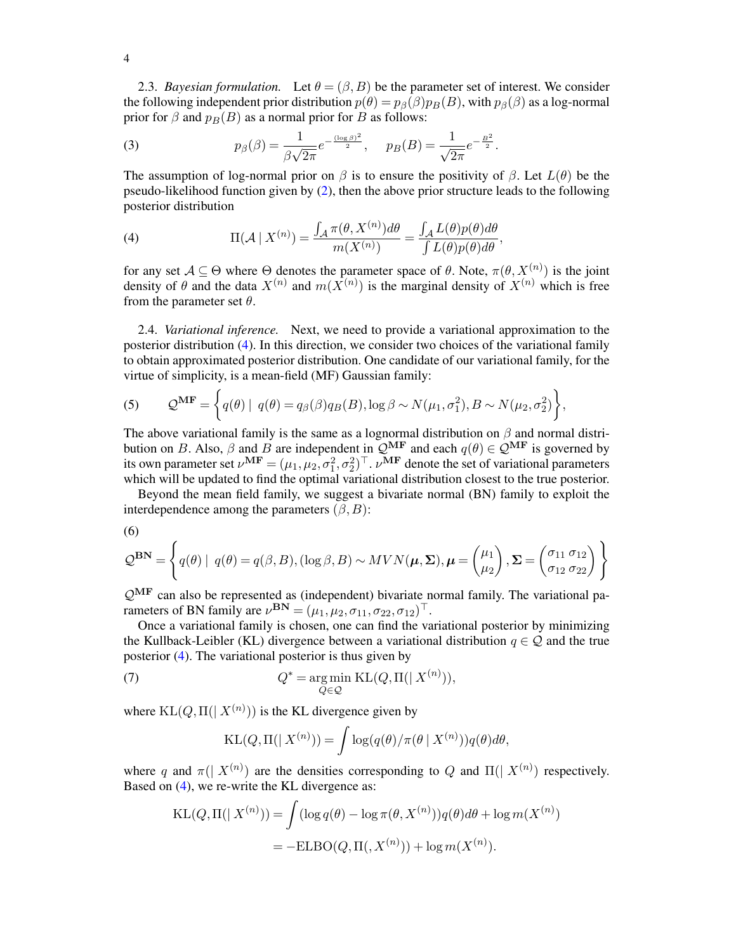2.3. *Bayesian formulation.* Let  $\theta = (\beta, B)$  be the parameter set of interest. We consider the following independent prior distribution  $p(\theta) = p_{\beta}(\beta)p_B(B)$ , with  $p_{\beta}(\beta)$  as a log-normal prior for  $\beta$  and  $p_B(B)$  as a normal prior for B as follows:

<span id="page-3-3"></span>(3) 
$$
p_{\beta}(\beta) = \frac{1}{\beta\sqrt{2\pi}}e^{-\frac{(\log \beta)^2}{2}}, \quad p_B(B) = \frac{1}{\sqrt{2\pi}}e^{-\frac{B^2}{2}}.
$$

The assumption of log-normal prior on  $\beta$  is to ensure the positivity of  $\beta$ . Let  $L(\theta)$  be the pseudo-likelihood function given by [\(2\)](#page-2-1), then the above prior structure leads to the following posterior distribution

<span id="page-3-0"></span>(4) 
$$
\Pi(\mathcal{A} \mid X^{(n)}) = \frac{\int_{\mathcal{A}} \pi(\theta, X^{(n)}) d\theta}{m(X^{(n)})} = \frac{\int_{\mathcal{A}} L(\theta) p(\theta) d\theta}{\int L(\theta) p(\theta) d\theta},
$$

for any set  $A \subseteq \Theta$  where  $\Theta$  denotes the parameter space of  $\theta$ . Note,  $\pi(\theta, X^{(n)})$  is the joint density of  $\theta$  and the data  $X^{(n)}$  and  $m(\overline{X}^{(n)})$  is the marginal density of  $X^{(n)}$  which is free from the parameter set  $\theta$ .

2.4. *Variational inference.* Next, we need to provide a variational approximation to the posterior distribution [\(4\)](#page-3-0). In this direction, we consider two choices of the variational family to obtain approximated posterior distribution. One candidate of our variational family, for the virtue of simplicity, is a mean-field (MF) Gaussian family:

<span id="page-3-2"></span>(5) 
$$
\mathcal{Q}^{\mathbf{MF}} = \left\{ q(\theta) \mid q(\theta) = q_{\beta}(\beta) q_B(B), \log \beta \sim N(\mu_1, \sigma_1^2), B \sim N(\mu_2, \sigma_2^2) \right\},\
$$

The above variational family is the same as a lognormal distribution on  $\beta$  and normal distribution on B. Also,  $\beta$  and B are independent in  $\mathcal{Q}^{\rm MF}$  and each  $q(\theta) \in \mathcal{Q}^{\rm MF}$  is governed by its own parameter set  $\nu^{MF} = (\mu_1, \mu_2, \sigma_1^2, \sigma_2^2)^\top$ .  $\nu^{MF}$  denote the set of variational parameters which will be updated to find the optimal variational distribution closest to the true posterior.

Beyond the mean field family, we suggest a bivariate normal (BN) family to exploit the interdependence among the parameters  $(\beta, B)$ :

$$
\left(6\right)
$$

$$
\mathcal{Q}^{\mathbf{BN}} = \left\{ q(\theta) \mid q(\theta) = q(\beta, B), (\log \beta, B) \sim MVN(\boldsymbol{\mu}, \boldsymbol{\Sigma}), \boldsymbol{\mu} = \begin{pmatrix} \mu_1 \\ \mu_2 \end{pmatrix}, \boldsymbol{\Sigma} = \begin{pmatrix} \sigma_{11} & \sigma_{12} \\ \sigma_{12} & \sigma_{22} \end{pmatrix} \right\}
$$

 $\mathcal{Q}^{\mathrm{MF}}$  can also be represented as (independent) bivariate normal family. The variational parameters of BN family are  $\nu^{\mathbf{BN}} = (\mu_1, \mu_2, \sigma_{11}, \sigma_{22}, \sigma_{12})^{\top}$ .

Once a variational family is chosen, one can find the variational posterior by minimizing the Kullback-Leibler (KL) divergence between a variational distribution  $q \in \mathcal{Q}$  and the true posterior [\(4\)](#page-3-0). The variational posterior is thus given by

<span id="page-3-1"></span>(7) 
$$
Q^* = \underset{Q \in \mathcal{Q}}{\text{arg min }} KL(Q, \Pi(|X^{(n)})),
$$

where  $KL(Q, \Pi(|X^{(n)}))$  is the KL divergence given by

KL(Q, \Pi(|X^{(n)})) = 
$$
\int \log(q(\theta)/\pi(\theta | X^{(n)}))q(\theta)d\theta,
$$

where q and  $\pi(|X^{(n)})$  are the densities corresponding to Q and  $\Pi(|X^{(n)})$  respectively. Based on [\(4\)](#page-3-0), we re-write the KL divergence as:

$$
KL(Q, \Pi(|X^{(n)}) ) = \int (\log q(\theta) - \log \pi(\theta, X^{(n)})) q(\theta) d\theta + \log m(X^{(n)})
$$
  
= -ELBO(Q, \Pi(, X^{(n)})) + log m(X^{(n)}).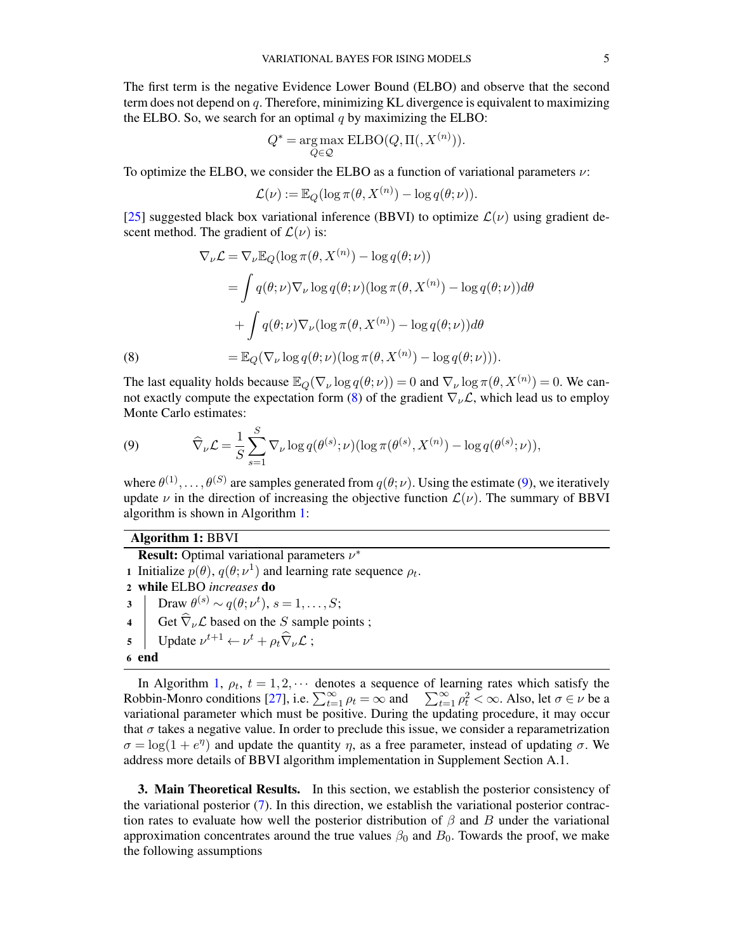The first term is the negative Evidence Lower Bound (ELBO) and observe that the second term does not depend on q. Therefore, minimizing KL divergence is equivalent to maximizing the ELBO. So, we search for an optimal  $q$  by maximizing the ELBO:

$$
Q^* = \underset{Q \in \mathcal{Q}}{\arg \max} \; \text{ELBO}(Q, \Pi(, X^{(n)})).
$$

To optimize the ELBO, we consider the ELBO as a function of variational parameters  $\nu$ :

$$
\mathcal{L}(\nu) := \mathbb{E}_Q(\log \pi(\theta, X^{(n)}) - \log q(\theta; \nu)).
$$

[\[25\]](#page-25-16) suggested black box variational inference (BBVI) to optimize  $\mathcal{L}(\nu)$  using gradient descent method. The gradient of  $\mathcal{L}(\nu)$  is:

(8)  
\n
$$
\nabla_{\nu} \mathcal{L} = \nabla_{\nu} \mathbb{E}_{Q} (\log \pi(\theta, X^{(n)}) - \log q(\theta; \nu))
$$
\n
$$
= \int q(\theta; \nu) \nabla_{\nu} \log q(\theta; \nu) (\log \pi(\theta, X^{(n)}) - \log q(\theta; \nu)) d\theta
$$
\n
$$
+ \int q(\theta; \nu) \nabla_{\nu} (\log \pi(\theta, X^{(n)}) - \log q(\theta; \nu)) d\theta
$$
\n(8)  
\n
$$
= \mathbb{E}_{Q} (\nabla_{\nu} \log q(\theta; \nu) (\log \pi(\theta, X^{(n)}) - \log q(\theta; \nu))).
$$

<span id="page-4-1"></span>The last equality holds because  $\mathbb{E}_Q(\nabla_\nu \log q(\theta; \nu)) = 0$  and  $\nabla_\nu \log \pi(\theta, X^{(n)}) = 0$ . We can-not exactly compute the expectation form [\(8\)](#page-4-1) of the gradient  $\nabla_{\nu} \mathcal{L}$ , which lead us to employ Monte Carlo estimates:

<span id="page-4-2"></span>(9) 
$$
\widehat{\nabla}_{\nu} \mathcal{L} = \frac{1}{S} \sum_{s=1}^{S} \nabla_{\nu} \log q(\theta^{(s)}; \nu) (\log \pi(\theta^{(s)}, X^{(n)}) - \log q(\theta^{(s)}; \nu)),
$$

where  $\theta^{(1)}, \ldots, \theta^{(S)}$  are samples generated from  $q(\theta; \nu)$ . Using the estimate [\(9\)](#page-4-2), we iteratively update  $\nu$  in the direction of increasing the objective function  $\mathcal{L}(\nu)$ . The summary of BBVI algorithm is shown in Algorithm [1:](#page-4-3)

## <span id="page-4-3"></span>Algorithm 1: BBVI

**Result:** Optimal variational parameters  $\nu^*$ 1 Initialize  $p(\theta)$ ,  $q(\theta; \nu^1)$  and learning rate sequence  $\rho_t$ . 2 while ELBO *increases* do 3 Draw  $\theta^{(s)} \sim q(\theta; \nu^t), s = 1, \ldots, S;$ 4 Get  $\widehat{\nabla}_{\nu} \mathcal{L}$  based on the S sample points ;<br>5 Update  $\nu^{t+1} \leftarrow \nu^t + \rho_t \widehat{\nabla}_{\nu} \mathcal{L}$ ; 5 Update  $\nu^{t+1} \leftarrow \nu^t + \rho_t \widehat{\nabla}_{\nu} \mathcal{L}$ ; 6 end

In Algorithm [1,](#page-4-3)  $\rho_t$ ,  $t = 1, 2, \cdots$  denotes a sequence of learning rates which satisfy the Robbin-Monro conditions [\[27\]](#page-26-3), i.e.  $\sum_{t=1}^{\infty} \rho_t = \infty$  and  $\sum_{t=1}^{\infty} \rho_t^2 < \infty$ . Also, let  $\sigma \in \nu$  be a variational parameter which must be positive. During the updating procedure, it may occur that  $\sigma$  takes a negative value. In order to preclude this issue, we consider a reparametrization  $\sigma = \log(1 + e^{\eta})$  and update the quantity  $\eta$ , as a free parameter, instead of updating  $\sigma$ . We address more details of BBVI algorithm implementation in Supplement Section A.1.

<span id="page-4-0"></span>**3. Main Theoretical Results.** In this section, we establish the posterior consistency of the variational posterior [\(7\)](#page-3-1). In this direction, we establish the variational posterior contraction rates to evaluate how well the posterior distribution of  $\beta$  and B under the variational approximation concentrates around the true values  $\beta_0$  and  $B_0$ . Towards the proof, we make the following assumptions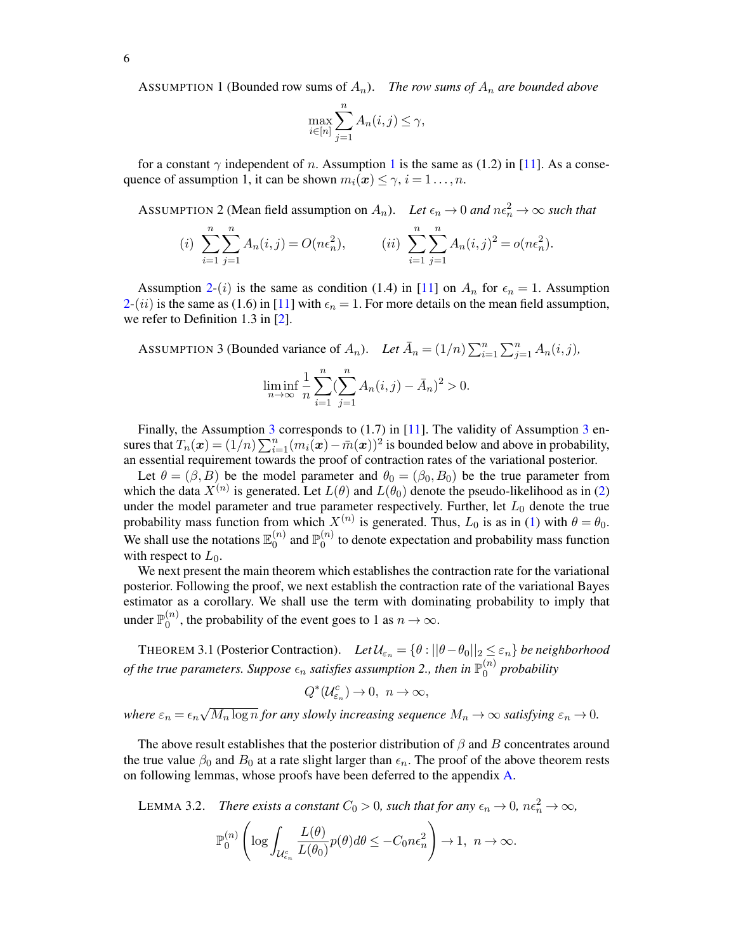<span id="page-5-0"></span>ASSUMPTION 1 (Bounded row sums of  $A_n$ ). *The row sums of*  $A_n$  *are bounded above* 

$$
\max_{i \in [n]} \sum_{j=1}^{n} A_n(i,j) \le \gamma,
$$

for a constant  $\gamma$  independent of n. Assumption [1](#page-5-0) is the same as (1.2) in [\[11\]](#page-25-10). As a consequence of assumption 1, it can be shown  $m_i(\boldsymbol{x}) \leq \gamma$ ,  $i = 1 \dots, n$ .

<span id="page-5-1"></span>ASSUMPTION 2 (Mean field assumption on  $A_n$ ). Let  $\epsilon_n \to 0$  and  $n\epsilon_n^2 \to \infty$  such that

(i) 
$$
\sum_{i=1}^{n} \sum_{j=1}^{n} A_n(i,j) = O(n\epsilon_n^2),
$$
 (ii) 
$$
\sum_{i=1}^{n} \sum_{j=1}^{n} A_n(i,j)^2 = o(n\epsilon_n^2).
$$

Assumption [2-](#page-5-1)(i) is the same as condition (1.4) in [\[11\]](#page-25-10) on  $A_n$  for  $\epsilon_n = 1$ . Assumption  $2-(ii)$  $2-(ii)$  is the same as (1.6) in [\[11\]](#page-25-10) with  $\epsilon_n = 1$ . For more details on the mean field assumption, we refer to Definition 1.3 in [\[2\]](#page-25-17).

<span id="page-5-2"></span>Assumprion 3 (Bounded variance of 
$$
A_n
$$
). Let  $\bar{A}_n = (1/n) \sum_{i=1}^n \sum_{j=1}^n A_n(i, j)$ ,  

$$
\liminf_{n \to \infty} \frac{1}{n} \sum_{i=1}^n (\sum_{j=1}^n A_n(i, j) - \bar{A}_n)^2 > 0.
$$

Finally, the Assumption [3](#page-5-2) corresponds to  $(1.7)$  in [\[11\]](#page-25-10). The validity of Assumption 3 ensures that  $T_n(x) = (1/n) \sum_{i=1}^n (m_i(x) - \bar{m}(x))^2$  is bounded below and above in probability, an essential requirement towards the proof of contraction rates of the variational posterior.

Let  $\theta = (\beta, B)$  be the model parameter and  $\theta_0 = (\beta_0, B_0)$  be the true parameter from which the data  $X^{(n)}$  is generated. Let  $L(\theta)$  and  $L(\theta_0)$  denote the pseudo-likelihood as in [\(2\)](#page-2-1) under the model parameter and true parameter respectively. Further, let  $L_0$  denote the true probability mass function from which  $X^{(n)}$  is generated. Thus,  $L_0$  is as in [\(1\)](#page-2-0) with  $\theta = \theta_0$ . We shall use the notations  $\mathbb{E}_0^{(n)}$  $_0^{(n)}$  and  $\mathbb{P}_0^{(n)}$  $\binom{n}{0}$  to denote expectation and probability mass function with respect to  $L_0$ .

We next present the main theorem which establishes the contraction rate for the variational posterior. Following the proof, we next establish the contraction rate of the variational Bayes estimator as a corollary. We shall use the term with dominating probability to imply that under  $\mathbb{P}_0^{(n)}$  $\chi_0^{(n)}$ , the probability of the event goes to 1 as  $n \to \infty$ .

<span id="page-5-4"></span>THEOREM 3.1 (Posterior Contraction). *Let*  $\mathcal{U}_{\varepsilon_n} = \{\theta : ||\theta - \theta_0||_2 \leq \varepsilon_n\}$  *be neighborhood* of the true parameters. Suppose  $\epsilon_n$  satisfies assumption 2., then in  $\mathbb{P}_0^{(n)}$ 0 *probability*

$$
Q^*(\mathcal{U}_{\varepsilon_n}^c)\to 0,\ \ n\to\infty,
$$

*where*  $\varepsilon_n = \epsilon_n$ √  $\overline{M_n \log n}$  *for any slowly increasing sequence*  $M_n \to \infty$  *satisfying*  $\varepsilon_n \to 0$ *.* 

The above result establishes that the posterior distribution of  $\beta$  and B concentrates around the true value  $\beta_0$  and  $B_0$  at a rate slight larger than  $\epsilon_n$ . The proof of the above theorem rests on following lemmas, whose proofs have been deferred to the appendix [A.](#page-10-0)

<span id="page-5-3"></span>LEMMA 3.2. *There exists a constant*  $C_0 > 0$ *, such that for any*  $\epsilon_n \to 0$ *,*  $n\epsilon_n^2 \to \infty$ *,*  $\mathbb{P}^{(n)}_{0}$ 0  $\int$ log  $\int$  $\mathcal{U}_{\epsilon_{\bm n}}^c$  $L(\theta)$  $\frac{L(\theta)}{L(\theta_0)}p(\theta)d\theta \leq -C_0n\epsilon_n^2$  $\setminus$  $\rightarrow 1, n \rightarrow \infty.$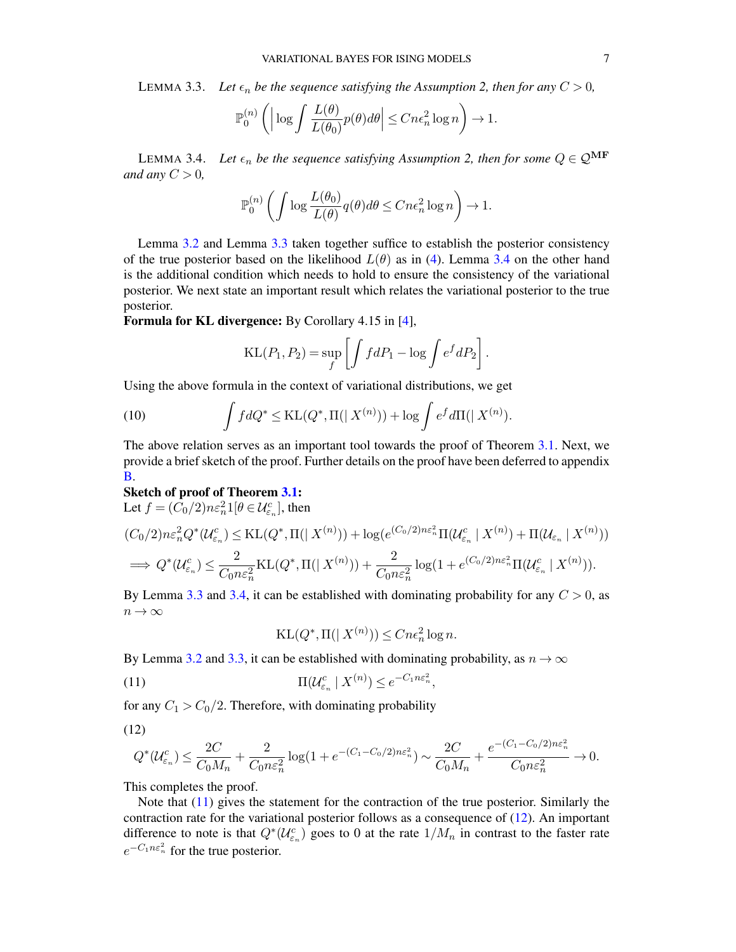<span id="page-6-0"></span>LEMMA 3.3. Let  $\epsilon_n$  be the sequence satisfying the Assumption 2, then for any  $C > 0$ ,

$$
\mathbb{P}_0^{(n)}\left(\Big|\log \int \frac{L(\theta)}{L(\theta_0)} p(\theta) d\theta\Big| \leq Cn\epsilon_n^2 \log n\right) \to 1.
$$

<span id="page-6-1"></span>LEMMA 3.4. Let  $\epsilon_n$  be the sequence satisfying Assumption 2, then for some  $Q \in \mathcal{Q}^{\mathbf{MF}}$ *and any*  $C > 0$ ,

$$
\mathbb{P}_0^{(n)}\left(\int \log \frac{L(\theta_0)}{L(\theta)} q(\theta) d\theta \leq Cn\epsilon_n^2 \log n\right) \to 1.
$$

Lemma [3.2](#page-5-3) and Lemma [3.3](#page-6-0) taken together suffice to establish the posterior consistency of the true posterior based on the likelihood  $L(\theta)$  as in [\(4\)](#page-3-0). Lemma [3.4](#page-6-1) on the other hand is the additional condition which needs to hold to ensure the consistency of the variational posterior. We next state an important result which relates the variational posterior to the true posterior.

Formula for KL divergence: By Corollary 4.15 in [\[4\]](#page-25-18),

$$
KL(P_1, P_2) = \sup_f \left[ \int f dP_1 - \log \int e^f dP_2 \right].
$$

Using the above formula in the context of variational distributions, we get

(10) 
$$
\int f dQ^* \leq \text{KL}(Q^*, \Pi(|X^{(n)}|) + \log \int e^f d\Pi(|X^{(n)}|).
$$

The above relation serves as an important tool towards the proof of Theorem [3.1.](#page-5-4) Next, we provide a brief sketch of the proof. Further details on the proof have been deferred to appendix [B.](#page-23-0)

#### Sketch of proof of Theorem [3.1:](#page-5-4)

Let  $f = (C_0/2) n \varepsilon_n^2 1 [\theta \in \mathcal{U}_{\varepsilon_n}^c]$ , then

$$
(C_0/2)n\varepsilon_n^2 Q^*(\mathcal{U}_{\varepsilon_n}^c) \leq \text{KL}(Q^*, \Pi(|X^{(n)}|) + \log(e^{(C_0/2)n\varepsilon_n^2}\Pi(\mathcal{U}_{\varepsilon_n}^c | X^{(n)}) + \Pi(\mathcal{U}_{\varepsilon_n} | X^{(n)}))
$$
  

$$
\implies Q^*(\mathcal{U}_{\varepsilon_n}^c) \leq \frac{2}{C_0 n\varepsilon_n^2} \text{KL}(Q^*, \Pi(|X^{(n)}|) + \frac{2}{C_0 n\varepsilon_n^2} \log(1 + e^{(C_0/2)n\varepsilon_n^2}\Pi(\mathcal{U}_{\varepsilon_n}^c | X^{(n)})).
$$

By Lemma [3.3](#page-6-0) and [3.4,](#page-6-1) it can be established with dominating probability for any  $C > 0$ , as  $n \to \infty$ 

$$
KL(Q^*, \Pi(|X^{(n)})) \le Cn\epsilon_n^2 \log n.
$$

<span id="page-6-2"></span>By Lemma [3.2](#page-5-3) and [3.3,](#page-6-0) it can be established with dominating probability, as  $n \to \infty$ 

$$
\Pi(\mathcal{U}_{\varepsilon_n}^c \mid X^{(n)}) \le e^{-C_1 n \varepsilon_n^2},
$$

<span id="page-6-3"></span>for any  $C_1 > C_0/2$ . Therefore, with dominating probability

(12)

$$
Q^*(\mathcal{U}_{\varepsilon_n}^c)\leq \frac{2C}{C_0M_n}+\frac{2}{C_0n\varepsilon_n^2}\log(1+e^{-(C_1-C_0/2)n\varepsilon_n^2})\sim \frac{2C}{C_0M_n}+\frac{e^{-(C_1-C_0/2)n\varepsilon_n^2}}{C_0n\varepsilon_n^2}\rightarrow 0.
$$

This completes the proof.

Note that  $(11)$  gives the statement for the contraction of the true posterior. Similarly the contraction rate for the variational posterior follows as a consequence of [\(12\)](#page-6-3). An important difference to note is that  $Q^*(\mathcal{U}_{\varepsilon_n}^c)$  goes to 0 at the rate  $1/M_n$  in contrast to the faster rate  $e^{-C_1 n \epsilon_n^2}$  for the true posterior.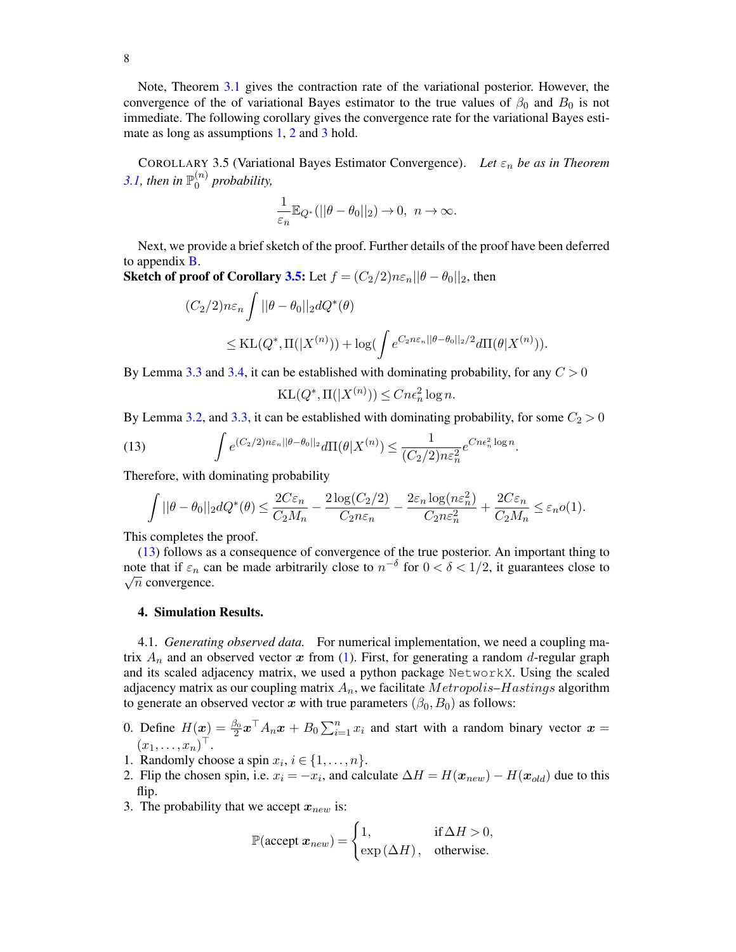Note, Theorem [3.1](#page-5-4) gives the contraction rate of the variational posterior. However, the convergence of the of variational Bayes estimator to the true values of  $\beta_0$  and  $B_0$  is not immediate. The following corollary gives the convergence rate for the variational Bayes esti-mate as long as assumptions [1,](#page-5-0) [2](#page-5-1) and [3](#page-5-2) hold.

<span id="page-7-1"></span>COROLLARY 3.5 (Variational Bayes Estimator Convergence). *Let* ε<sup>n</sup> *be as in Theorem* [3.1,](#page-5-4) then in  $\mathbb{P}_0^{(n)}$  $\int_0^{(n)}$  probability,

$$
\frac{1}{\varepsilon_n}\mathbb{E}_{Q^*} (||\theta-\theta_0||_2)\to 0,\ n\to\infty.
$$

Next, we provide a brief sketch of the proof. Further details of the proof have been deferred to appendix [B.](#page-23-0)

**Sketch of proof of Corollary [3.5:](#page-7-1)** Let  $f = (C_2/2)n\varepsilon_n ||\theta - \theta_0||_2$ , then

$$
(C_2/2)n\varepsilon_n \int ||\theta - \theta_0||_2 dQ^*(\theta)
$$
  
\n
$$
\leq KL(Q^*, \Pi(|X^{(n)}\rangle) + \log(\int e^{C_2 n\varepsilon_n ||\theta - \theta_0||_2/2} d\Pi(\theta|X^{(n)})).
$$

By Lemma [3.3](#page-6-0) and [3.4,](#page-6-1) it can be established with dominating probability, for any  $C > 0$ 

$$
KL(Q^*, \Pi(|X^{(n)})) \le Cn\epsilon_n^2 \log n.
$$

By Lemma [3.2,](#page-5-3) and [3.3,](#page-6-0) it can be established with dominating probability, for some  $C_2 > 0$ 

<span id="page-7-2"></span>(13) 
$$
\int e^{(C_2/2)n\varepsilon_n||\theta-\theta_0||_2} d\Pi(\theta|X^{(n)}) \leq \frac{1}{(C_2/2)n\varepsilon_n^2} e^{Cn\epsilon_n^2 \log n}.
$$

Therefore, with dominating probability

$$
\int ||\theta-\theta_0||_2 dQ^*(\theta) \leq \frac{2C\varepsilon_n}{C_2M_n} - \frac{2\log(C_2/2)}{C_2n\varepsilon_n} - \frac{2\varepsilon_n\log(n\varepsilon_n^2)}{C_2n\varepsilon_n^2} + \frac{2C\varepsilon_n}{C_2M_n} \leq \varepsilon_n o(1).
$$

This completes the proof.

[\(13\)](#page-7-2) follows as a consequence of convergence of the true posterior. An important thing to note that if  $\varepsilon_n$  can be made arbitrarily close to  $n^{-\delta}$  for  $0 < \delta < 1/2$ , it guarantees close to  $\sqrt{n}$  convergence.

#### <span id="page-7-0"></span>4. Simulation Results.

<span id="page-7-3"></span>4.1. *Generating observed data.* For numerical implementation, we need a coupling matrix  $A_n$  and an observed vector x from [\(1\)](#page-2-0). First, for generating a random d-regular graph and its scaled adjacency matrix, we used a python package NetworkX. Using the scaled adjacency matrix as our coupling matrix  $A_n$ , we facilitate  $Metropolis-Hastings$  algorithm to generate an observed vector x with true parameters  $(\beta_0, B_0)$  as follows:

- 0. Define  $H(x) = \frac{\beta_0}{2} x^{\top} A_n x + B_0 \sum_{i=1}^n x_i$  and start with a random binary vector  $x =$  $(x_1,\ldots,x_n)^\top$ .
- 1. Randomly choose a spin  $x_i$ ,  $i \in \{1, \ldots, n\}$ .
- 2. Flip the chosen spin, i.e.  $x_i = -x_i$ , and calculate  $\Delta H = H(\mathbf{x}_{new}) H(\mathbf{x}_{old})$  due to this flip.
- 3. The probability that we accept  $x_{new}$  is:

$$
\mathbb{P}(\text{accept } x_{new}) = \begin{cases} 1, & \text{if } \Delta H > 0, \\ \exp(\Delta H), & \text{otherwise.} \end{cases}
$$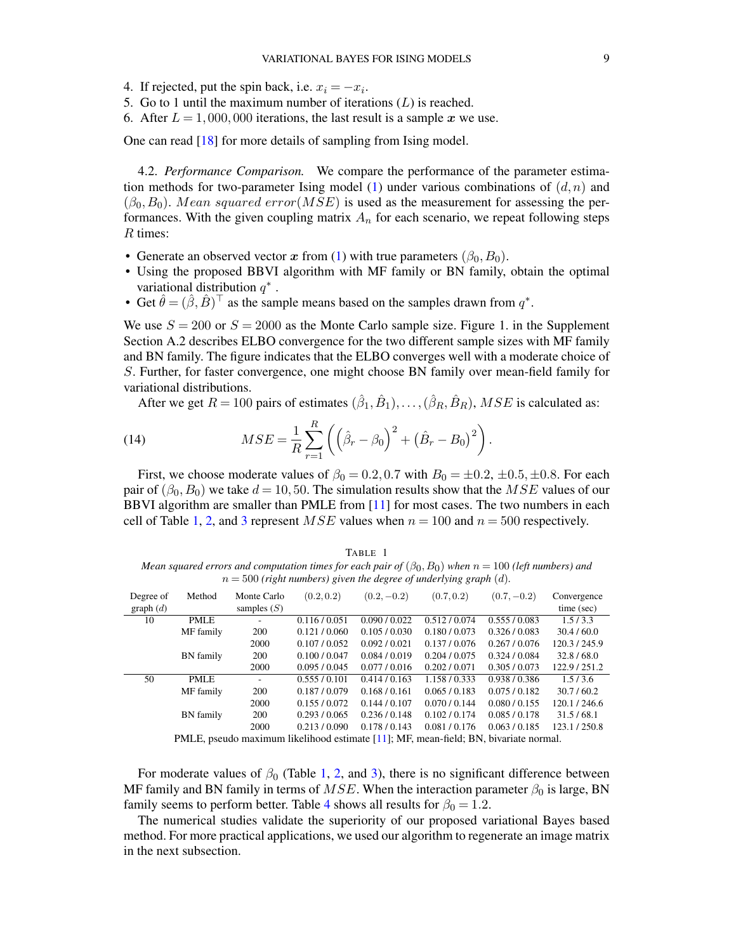- 4. If rejected, put the spin back, i.e.  $x_i = -x_i$ .
- 5. Go to 1 until the maximum number of iterations  $(L)$  is reached.
- 6. After  $L = 1,000,000$  iterations, the last result is a sample x we use.

One can read [\[18\]](#page-25-19) for more details of sampling from Ising model.

4.2. *Performance Comparison.* We compare the performance of the parameter estima-tion methods for two-parameter Ising model [\(1\)](#page-2-0) under various combinations of  $(d, n)$  and  $(\beta_0, B_0)$ . Mean squared error(MSE) is used as the measurement for assessing the performances. With the given coupling matrix  $A_n$  for each scenario, we repeat following steps R times:

- Generate an observed vector x from [\(1\)](#page-2-0) with true parameters  $(\beta_0, B_0)$ .
- Using the proposed BBVI algorithm with MF family or BN family, obtain the optimal variational distribution  $q^*$ .
- Get  $\hat{\theta} = (\hat{\beta}, \hat{B})^{\top}$  as the sample means based on the samples drawn from  $q^*$ .

We use  $S = 200$  or  $S = 2000$  as the Monte Carlo sample size. Figure 1. in the Supplement Section A.2 describes ELBO convergence for the two different sample sizes with MF family and BN family. The figure indicates that the ELBO converges well with a moderate choice of S. Further, for faster convergence, one might choose BN family over mean-field family for variational distributions.

After we get  $R = 100$  pairs of estimates  $(\hat{\beta}_1, \hat{B}_1), \dots, (\hat{\beta}_R, \hat{B}_R)$ ,  $MSE$  is calculated as:

(14) 
$$
MSE = \frac{1}{R} \sum_{r=1}^{R} \left( \left( \hat{\beta}_r - \beta_0 \right)^2 + \left( \hat{B}_r - B_0 \right)^2 \right).
$$

First, we choose moderate values of  $\beta_0 = 0.2, 0.7$  with  $B_0 = \pm 0.2, \pm 0.5, \pm 0.8$ . For each pair of  $(\beta_0, B_0)$  we take  $d = 10, 50$ . The simulation results show that the MSE values of our BBVI algorithm are smaller than PMLE from [\[11\]](#page-25-10) for most cases. The two numbers in each cell of Table [1,](#page-8-0) [2,](#page-9-0) and [3](#page-9-1) represent  $MSE$  values when  $n = 100$  and  $n = 500$  respectively.

<span id="page-8-0"></span>TABLE 1 *Mean squared errors and computation times for each pair of*  $(\beta_0, B_0)$  *when*  $n = 100$  *(left numbers) and*  $n = 500$  (right numbers) given the degree of underlying graph  $(d)$ .

| Degree of                                                                            | Method    | Monte Carlo   | (0.2, 0.2)    | $(0.2, -0.2)$ | (0.7, 0.2)    | $(0.7, -0.2)$ | Convergence |
|--------------------------------------------------------------------------------------|-----------|---------------|---------------|---------------|---------------|---------------|-------------|
| graph $(d)$                                                                          |           | samples $(S)$ |               |               |               |               | time (sec)  |
| 10                                                                                   | PMLE      |               | 0.116 / 0.051 | 0.090 / 0.022 | 0.512 / 0.074 | 0.555 / 0.083 | 1.5/3.3     |
|                                                                                      | MF family | 200           | 0.121 / 0.060 | 0.105/0.030   | 0.180 / 0.073 | 0.326/0.083   | 30.4/60.0   |
|                                                                                      |           | 2000          | 0.107 / 0.052 | 0.092 / 0.021 | 0.137/0.076   | 0.267 / 0.076 | 120.3/245.9 |
|                                                                                      | BN family | <b>200</b>    | 0.100 / 0.047 | 0.084/0.019   | 0.204/0.075   | 0.324/0.084   | 32.8/68.0   |
|                                                                                      |           | 2000          | 0.095 / 0.045 | 0.077/0.016   | 0.202 / 0.071 | 0.305 / 0.073 | 122.9/251.2 |
| 50                                                                                   | PMLE      | ۰.            | 0.555/0.101   | 0.414/0.163   | 1.158 / 0.333 | 0.938 / 0.386 | 1.5/3.6     |
|                                                                                      | MF family | 200           | 0.187/0.079   | 0.168/0.161   | 0.065/0.183   | 0.075/0.182   | 30.7/60.2   |
|                                                                                      |           | 2000          | 0.155/0.072   | 0.144/0.107   | 0.070 / 0.144 | 0.080 / 0.155 | 120.1/246.6 |
|                                                                                      | BN family | 200           | 0.293/0.065   | 0.236 / 0.148 | 0.102 / 0.174 | 0.085/0.178   | 31.5/68.1   |
|                                                                                      |           | 2000          | 0.213/0.090   | 0.178/0.143   | 0.081/0.176   | 0.063/0.185   | 123.1/250.8 |
| PMLE, pseudo maximum likelihood estimate [11]; MF, mean-field; BN, bivariate normal. |           |               |               |               |               |               |             |

For moderate values of  $\beta_0$  (Table [1,](#page-8-0) [2,](#page-9-0) and [3\)](#page-9-1), there is no significant difference between MF family and BN family in terms of  $MSE$ . When the interaction parameter  $\beta_0$  is large, BN family seems to perform better. Table [4](#page-9-2) shows all results for  $\beta_0 = 1.2$ .

The numerical studies validate the superiority of our proposed variational Bayes based method. For more practical applications, we used our algorithm to regenerate an image matrix in the next subsection.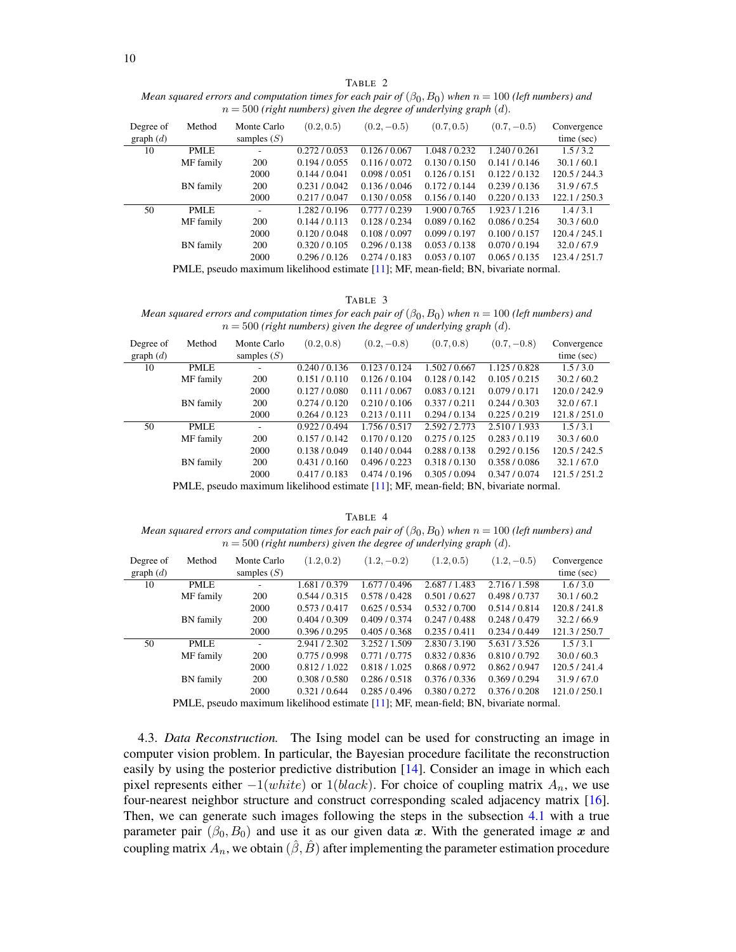<span id="page-9-0"></span>TABLE 2 *Mean squared errors and computation times for each pair of*  $(\beta_0, B_0)$  *when*  $n = 100$  *(left numbers) and*  $n = 500$  (right numbers) given the degree of underlying graph  $(d)$ .

| Degree of<br>graph $(d)$                                                             | Method           | Monte Carlo<br>samples $(S)$ | (0.2, 0.5)    | $(0.2, -0.5)$ | (0.7, 0.5)    | $(0.7, -0.5)$ | Convergence<br>time (sec) |
|--------------------------------------------------------------------------------------|------------------|------------------------------|---------------|---------------|---------------|---------------|---------------------------|
| 10                                                                                   | <b>PMLE</b>      |                              | 0.272/0.053   | 0.126/0.067   | 1.048/0.232   | 1.240 / 0.261 | 1.5/3.2                   |
|                                                                                      | MF family        | <b>200</b>                   | 0.194/0.055   | 0.116 / 0.072 | 0.130 / 0.150 | 0.141/0.146   | 30.1 / 60.1               |
|                                                                                      |                  | 2000                         | 0.144/0.041   | 0.098 / 0.051 | 0.126 / 0.151 | 0.122 / 0.132 | 120.5/244.3               |
|                                                                                      | <b>BN</b> family | <b>200</b>                   | 0.231 / 0.042 | 0.136 / 0.046 | 0.172/0.144   | 0.239/0.136   | 31.9/67.5                 |
|                                                                                      |                  | 2000                         | 0.217/0.047   | 0.130 / 0.058 | 0.156 / 0.140 | 0.220 / 0.133 | 122.1/250.3               |
| 50                                                                                   | <b>PMLE</b>      |                              | 1.282/0.196   | 0.777/0.239   | 1.900 / 0.765 | 1.923/1.216   | 1.4/3.1                   |
|                                                                                      | MF family        | 200                          | 0.144/0.113   | 0.128 / 0.234 | 0.089/0.162   | 0.086 / 0.254 | 30.3/60.0                 |
|                                                                                      |                  | 2000                         | 0.120 / 0.048 | 0.108 / 0.097 | 0.099/0.197   | 0.100 / 0.157 | 120.4 / 245.1             |
|                                                                                      | <b>BN</b> family | <b>200</b>                   | 0.320 / 0.105 | 0.296 / 0.138 | 0.053/0.138   | 0.070 / 0.194 | 32.0/67.9                 |
|                                                                                      |                  | 2000                         | 0.296 / 0.126 | 0.274/0.183   | 0.053/0.107   | 0.065/0.135   | 123.4/251.7               |
| PMLE, pseudo maximum likelihood estimate [11]; MF, mean-field; BN, bivariate normal. |                  |                              |               |               |               |               |                           |

TABLE 3

<span id="page-9-1"></span>*Mean squared errors and computation times for each pair of*  $(\beta_0, B_0)$  *when*  $n = 100$  *(left numbers) and*  $n = 500$  (right numbers) given the degree of underlying graph  $(d)$ .

| Degree of   | Method           | Monte Carlo   | (0.2, 0.8)    | $(0.2, -0.8)$ | (0.7, 0.8)                                                                       | $(0.7, -0.8)$ | Convergence |
|-------------|------------------|---------------|---------------|---------------|----------------------------------------------------------------------------------|---------------|-------------|
| graph $(d)$ |                  | samples $(S)$ |               |               |                                                                                  |               | time (sec)  |
| 10          | <b>PMLE</b>      |               | 0.240 / 0.136 | 0.123/0.124   | 1.502/0.667                                                                      | 1.125/0.828   | 1.5/3.0     |
|             | MF family        | 200           | 0.151/0.110   | 0.126 / 0.104 | 0.128 / 0.142                                                                    | 0.105/0.215   | 30.2 / 60.2 |
|             |                  | 2000          | 0.127/0.080   | 0.111 / 0.067 | 0.083/0.121                                                                      | 0.079/0.171   | 120.0/242.9 |
|             | <b>BN</b> family | 200           | 0.274/0.120   | 0.210 / 0.106 | 0.337/0.211                                                                      | 0.244/0.303   | 32.0/67.1   |
|             |                  | 2000          | 0.264/0.123   | 0.213/0.111   | 0.294/0.134                                                                      | 0.225/0.219   | 121.8/251.0 |
| 50          | PMLE             |               | 0.922/0.494   | 1.756 / 0.517 | 2.592/2.773                                                                      | 2.510/1.933   | 1.5/3.1     |
|             | MF family        | 200           | 0.157/0.142   | 0.170 / 0.120 | 0.275/0.125                                                                      | 0.283/0.119   | 30.3/60.0   |
|             |                  | 2000          | 0.138 / 0.049 | 0.140 / 0.044 | 0.288 / 0.138                                                                    | 0.292/0.156   | 120.5/242.5 |
|             | <b>BN</b> family | 200           | 0.431/0.160   | 0.496/0.223   | 0.318 / 0.130                                                                    | 0.358 / 0.086 | 32.1/67.0   |
|             |                  | 2000          | 0.417/0.183   | 0.474/0.196   | 0.305/0.094                                                                      | 0.347/0.074   | 121.5/251.2 |
|             |                  |               |               |               | DMLE pequal maximum likelihood estimate [11]. ME mean field: RN bivariate normal |               |             |

PMLE, pseudo maximum likelihood estimate [\[11\]](#page-25-10); MF, mean-field; BN, bivariate normal.

<span id="page-9-2"></span>TABLE 4 *Mean squared errors and computation times for each pair of*  $(\beta_0, B_0)$  *when*  $n = 100$  *(left numbers) and*  $n = 500$  (right numbers) given the degree of underlying graph  $(d)$ .

| Degree of<br>graph $(d)$ | Method           | Monte Carlo<br>samples $(S)$ | (1.2, 0.2)    | $(1.2, -0.2)$ | (1.2, 0.5)                                                                       | $(1.2, -0.5)$ | Convergence<br>time (sec) |
|--------------------------|------------------|------------------------------|---------------|---------------|----------------------------------------------------------------------------------|---------------|---------------------------|
| 10                       | <b>PMLE</b>      | ٠                            | 1.681/0.379   | 1.677/0.496   | 2.687/1.483                                                                      | 2.716/1.598   | 1.6/3.0                   |
|                          | MF family        | 200                          | 0.544/0.315   | 0.578/0.428   | 0.501 / 0.627                                                                    | 0.498/0.737   | 30.1 / 60.2               |
|                          |                  | 2000                         | 0.573/0.417   | 0.625/0.534   | 0.532/0.700                                                                      | 0.514/0.814   | 120.8/241.8               |
|                          | <b>BN</b> family | 200                          | 0.404/0.309   | 0.409 / 0.374 | 0.247/0.488                                                                      | 0.248/0.479   | 32.2/66.9                 |
|                          |                  | 2000                         | 0.396 / 0.295 | 0.405/0.368   | 0.235/0.411                                                                      | 0.234/0.449   | 121.3/250.7               |
| 50                       | <b>PMLE</b>      |                              | 2.941/2.302   | 3.252/1.509   | 2.830 / 3.190                                                                    | 5.631 / 3.526 | 1.5/3.1                   |
|                          | MF family        | 200                          | 0.775/0.998   | 0.771/0.775   | 0.832/0.836                                                                      | 0.810 / 0.792 | 30.0 / 60.3               |
|                          |                  | 2000                         | 0.812 / 1.022 | 0.818 / 1.025 | 0.868/0.972                                                                      | 0.862/0.947   | 120.5/241.4               |
|                          | <b>BN</b> family | <b>200</b>                   | 0.308 / 0.580 | 0.286 / 0.518 | 0.376/0.336                                                                      | 0.369/0.294   | 31.9/67.0                 |
|                          |                  | 2000                         | 0.321 / 0.644 | 0.285/0.496   | 0.380 / 0.272                                                                    | 0.376/0.208   | 121.0/250.1               |
|                          |                  |                              |               |               | DMLE neeudo maximum likelihood estimate [11]. ME mean field: RN hiveriate normal |               |                           |

PMLE, pseudo maximum likelihood estimate [\[11\]](#page-25-10); MF, mean-field; BN, bivariate normal.

4.3. *Data Reconstruction.* The Ising model can be used for constructing an image in computer vision problem. In particular, the Bayesian procedure facilitate the reconstruction easily by using the posterior predictive distribution [\[14\]](#page-25-20). Consider an image in which each pixel represents either  $-1(white)$  or  $1(black)$ . For choice of coupling matrix  $A_n$ , we use four-nearest neighbor structure and construct corresponding scaled adjacency matrix [\[16\]](#page-25-21). Then, we can generate such images following the steps in the subsection [4.1](#page-7-3) with a true parameter pair  $(\beta_0, B_0)$  and use it as our given data x. With the generated image x and coupling matrix  $A_n$ , we obtain  $(\hat{\beta}, \hat{B})$  after implementing the parameter estimation procedure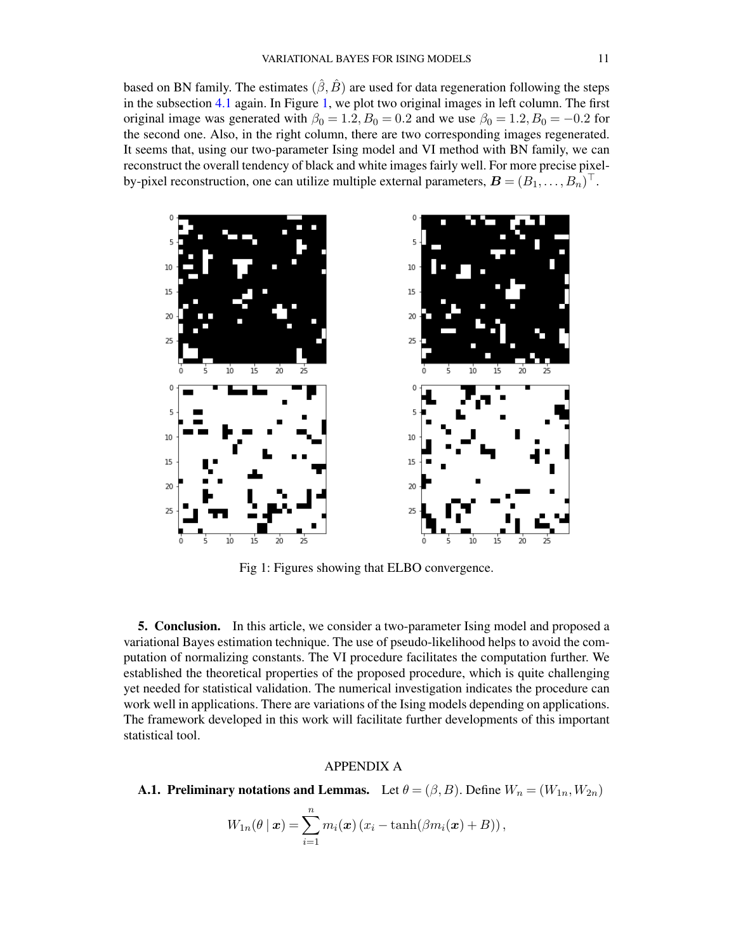based on BN family. The estimates  $(\hat{\beta}, \hat{B})$  are used for data regeneration following the steps in the subsection [4.1](#page-7-3) again. In Figure [1,](#page-10-1) we plot two original images in left column. The first original image was generated with  $\beta_0 = 1.2, B_0 = 0.2$  and we use  $\beta_0 = 1.2, B_0 = -0.2$  for the second one. Also, in the right column, there are two corresponding images regenerated. It seems that, using our two-parameter Ising model and VI method with BN family, we can reconstruct the overall tendency of black and white images fairly well. For more precise pixelby-pixel reconstruction, one can utilize multiple external parameters,  $\boldsymbol{B} = (B_1, \ldots, B_n)^{\top}$ .

<span id="page-10-1"></span>

Fig 1: Figures showing that ELBO convergence.

5. Conclusion. In this article, we consider a two-parameter Ising model and proposed a variational Bayes estimation technique. The use of pseudo-likelihood helps to avoid the computation of normalizing constants. The VI procedure facilitates the computation further. We established the theoretical properties of the proposed procedure, which is quite challenging yet needed for statistical validation. The numerical investigation indicates the procedure can work well in applications. There are variations of the Ising models depending on applications. The framework developed in this work will facilitate further developments of this important statistical tool.

### APPENDIX A

<span id="page-10-0"></span>**A.1. Preliminary notations and Lemmas.** Let  $\theta = (\beta, B)$ . Define  $W_n = (W_{1n}, W_{2n})$ 

$$
W_{1n}(\theta \mid \boldsymbol{x}) = \sum_{i=1}^{n} m_i(\boldsymbol{x}) \left( x_i - \tanh(\beta m_i(\boldsymbol{x}) + B) \right),
$$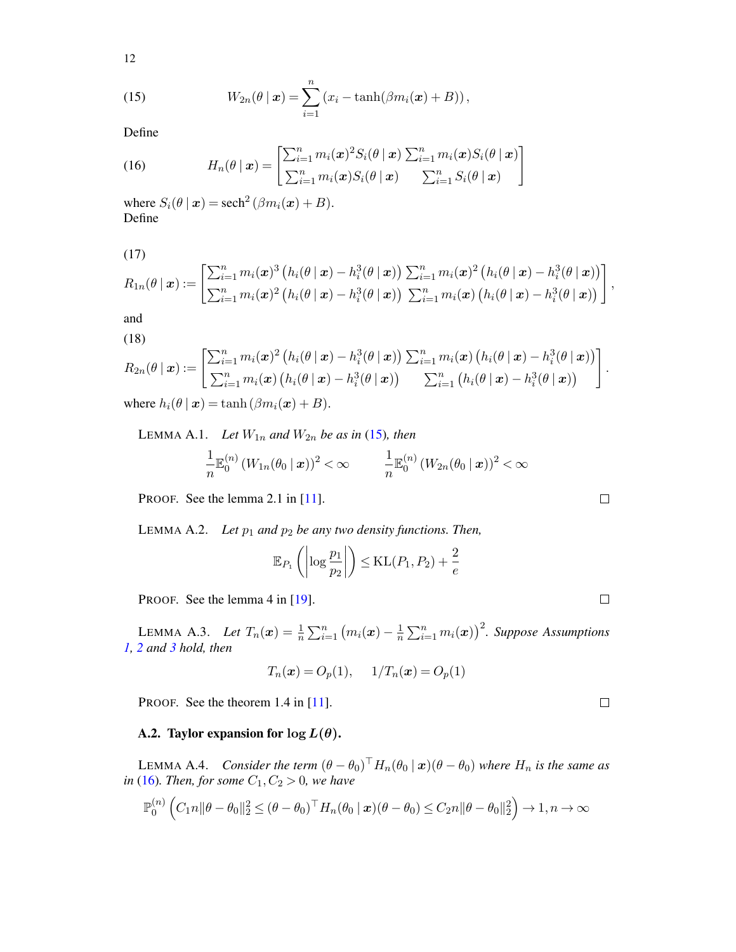$$
12 \\
$$

<span id="page-11-0"></span>(15) 
$$
W_{2n}(\theta \mid \boldsymbol{x}) = \sum_{i=1}^{n} (x_i - \tanh(\beta m_i(\boldsymbol{x}) + B)),
$$

Define

<span id="page-11-1"></span>(16) 
$$
H_n(\theta \mid \boldsymbol{x}) = \begin{bmatrix} \sum_{i=1}^n m_i(\boldsymbol{x})^2 S_i(\theta \mid \boldsymbol{x}) \sum_{i=1}^n m_i(\boldsymbol{x}) S_i(\theta \mid \boldsymbol{x}) \\ \sum_{i=1}^n m_i(\boldsymbol{x}) S_i(\theta \mid \boldsymbol{x}) \sum_{i=1}^n S_i(\theta \mid \boldsymbol{x}) \end{bmatrix}
$$

where  $S_i(\theta | \mathbf{x}) = \text{sech}^2(\beta m_i(\mathbf{x}) + B)$ . Define

<span id="page-11-3"></span>(17)

$$
R_{1n}(\theta \mid \boldsymbol{x}) := \begin{bmatrix} \sum_{i=1}^n m_i(\boldsymbol{x})^3 \left( h_i(\theta \mid \boldsymbol{x}) - h_i^3(\theta \mid \boldsymbol{x}) \right) \sum_{i=1}^n m_i(\boldsymbol{x})^2 \left( h_i(\theta \mid \boldsymbol{x}) - h_i^3(\theta \mid \boldsymbol{x}) \right) \\ \sum_{i=1}^n m_i(\boldsymbol{x})^2 \left( h_i(\theta \mid \boldsymbol{x}) - h_i^3(\theta \mid \boldsymbol{x}) \right) \sum_{i=1}^n m_i(\boldsymbol{x}) \left( h_i(\theta \mid \boldsymbol{x}) - h_i^3(\theta \mid \boldsymbol{x}) \right) \end{bmatrix},
$$

<span id="page-11-4"></span>and (18)

$$
R_{2n}(\theta | \mathbf{x}) := \begin{bmatrix} \sum_{i=1}^{n} m_i(\mathbf{x})^2 (h_i(\theta | \mathbf{x}) - h_i^3(\theta | \mathbf{x})) \sum_{i=1}^{n} m_i(\mathbf{x}) (h_i(\theta | \mathbf{x}) - h_i^3(\theta | \mathbf{x})) \\ \sum_{i=1}^{n} m_i(\mathbf{x}) (h_i(\theta | \mathbf{x}) - h_i^3(\theta | \mathbf{x})) \qquad \sum_{i=1}^{n} (h_i(\theta | \mathbf{x}) - h_i^3(\theta | \mathbf{x})) \end{bmatrix}.
$$
  
where  $h_i(\theta | \mathbf{x}) = \tanh(\beta m_i(\mathbf{x}) + B).$ 

<span id="page-11-5"></span>LEMMA A.1. *Let*  $W_{1n}$  *and*  $W_{2n}$  *be as in* [\(15\)](#page-11-0)*, then* 

$$
\frac{1}{n}\mathbb{E}_0^{(n)}\left(W_{1n}(\theta_0\,\vert\,\boldsymbol{x})\right)^2<\infty\qquad\quad\frac{1}{n}\mathbb{E}_0^{(n)}\left(W_{2n}(\theta_0\,\vert\,\boldsymbol{x})\right)^2<\infty
$$

PROOF. See the lemma 2.1 in [\[11\]](#page-25-10).

<span id="page-11-7"></span>LEMMA A.2. *Let*  $p_1$  *and*  $p_2$  *be any two density functions. Then,* 

$$
\mathbb{E}_{P_1}\left(\left|\log\frac{p_1}{p_2}\right|\right) \le \text{KL}(P_1, P_2) + \frac{2}{e}
$$

PROOF. See the lemma 4 in [\[19\]](#page-25-22).

<span id="page-11-2"></span>LEMMA A.3. *Let*  $T_n(x) = \frac{1}{n} \sum_{i=1}^n (m_i(x) - \frac{1}{n})$  $\frac{1}{n}\sum_{i=1}^n m_i(\boldsymbol{x})\big)^2$ . Suppose Assumptions *[1,](#page-5-0) [2](#page-5-1) and [3](#page-5-2) hold, then*

$$
T_n(x) = O_p(1), \quad 1/T_n(x) = O_p(1)
$$

PROOF. See the theorem 1.4 in [\[11\]](#page-25-10).

# A.2. Taylor expansion for  $\log L(\theta)$ .

<span id="page-11-6"></span>LEMMA A.4. *Consider the term*  $(\theta - \theta_0)^{\top} H_n(\theta_0 \mid \bm{x}) (\theta - \theta_0)$  where  $H_n$  is the same as *in* [\(16\)](#page-11-1)*. Then, for some*  $C_1, C_2 > 0$ *, we have* 

$$
\mathbb{P}_0^{(n)}\left(C_1n\|\theta-\theta_0\|_2^2\leq (\theta-\theta_0)^\top H_n(\theta_0\|\mathbf{x})(\theta-\theta_0)\leq C_2n\|\theta-\theta_0\|_2^2\right)\to 1, n\to\infty
$$

 $\Box$ 

 $\Box$ 

 $\Box$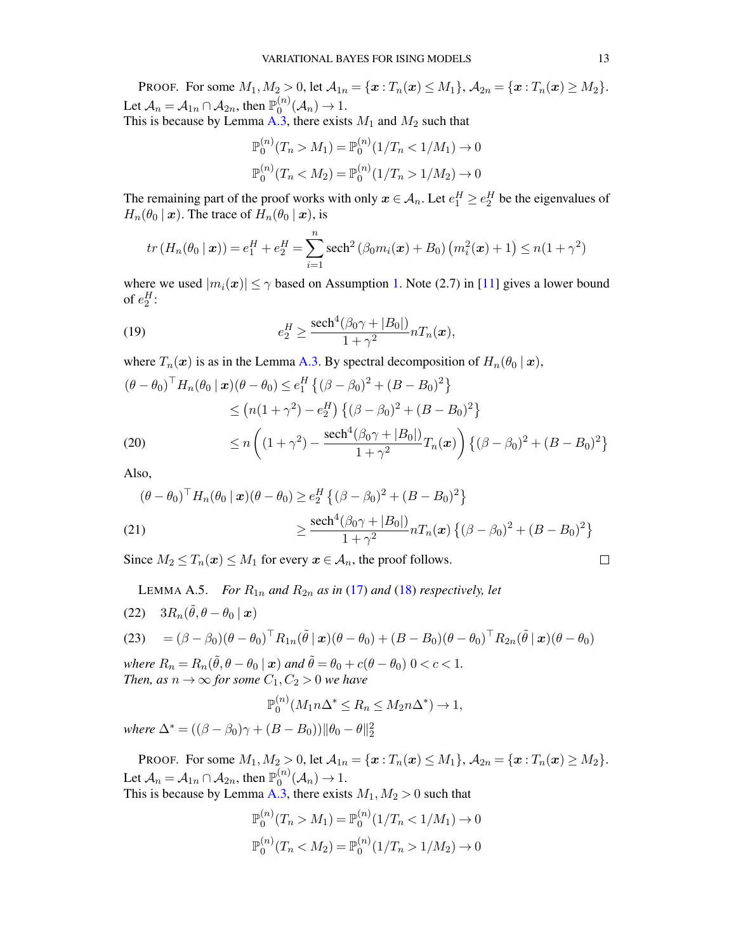PROOF. For some  $M_1, M_2 > 0$ , let  $\mathcal{A}_{1n} = \{ \mathbf{x} : T_n(\mathbf{x}) \le M_1 \}, \mathcal{A}_{2n} = \{ \mathbf{x} : T_n(\mathbf{x}) \ge M_2 \}.$ Let  $\mathcal{A}_n = \mathcal{A}_{1n} \cap \mathcal{A}_{2n}$ , then  $\mathbb{P}_0^{(n)}$  $\big( \begin{matrix} n \\ 0 \end{matrix} \big) (A_n) \rightarrow 1.$ This is because by Lemma [A.3,](#page-11-2) there exists  $M_1$  and  $M_2$  such that

$$
\mathbb{P}_0^{(n)}(T_n > M_1) = \mathbb{P}_0^{(n)}(1/T_n < 1/M_1) \to 0
$$
  

$$
\mathbb{P}_0^{(n)}(T_n < M_2) = \mathbb{P}_0^{(n)}(1/T_n > 1/M_2) \to 0
$$

The remaining part of the proof works with only  $x \in A_n$ . Let  $e_1^H \ge e_2^H$  be the eigenvalues of  $H_n(\theta_0 \mid \boldsymbol{x})$ . The trace of  $H_n(\theta_0 \mid \boldsymbol{x})$ , is

$$
tr(H_n(\theta_0 \mid \boldsymbol{x})) = e_1^H + e_2^H = \sum_{i=1}^n \operatorname{sech}^2(\beta_0 m_i(\boldsymbol{x}) + B_0) (m_i^2(\boldsymbol{x}) + 1) \le n(1 + \gamma^2)
$$

where we used  $|m_i(x)| \leq \gamma$  based on Assumption [1.](#page-5-0) Note (2.7) in [\[11\]](#page-25-10) gives a lower bound of  $e_2^H$ :

<span id="page-12-1"></span>(19) 
$$
e_2^H \geq \frac{\operatorname{sech}^4(\beta_0 \gamma + |B_0|)}{1 + \gamma^2} n T_n(x),
$$

where  $T_n(x)$  is as in the Lemma [A.3.](#page-11-2) By spectral decomposition of  $H_n(\theta_0 | x)$ ,

$$
(\theta - \theta_0)^{\top} H_n(\theta_0 | \mathbf{x}) (\theta - \theta_0) \le e_1^H \left\{ (\beta - \beta_0)^2 + (B - B_0)^2 \right\}
$$
  
\n
$$
\le (n(1 + \gamma^2) - e_2^H) \left\{ (\beta - \beta_0)^2 + (B - B_0)^2 \right\}
$$
  
\n(20) 
$$
\le n \left( (1 + \gamma^2) - \frac{\text{sech}^4(\beta_0 \gamma + |B_0|)}{1 + \gamma^2} T_n(\mathbf{x}) \right) \left\{ (\beta - \beta_0)^2 + (B - B_0)^2 \right\}
$$

<span id="page-12-2"></span>Also,

<span id="page-12-0"></span>
$$
(\theta - \theta_0)^{\top} H_n(\theta_0 | \mathbf{x}) (\theta - \theta_0) \ge e_2^H \{ (\beta - \beta_0)^2 + (B - B_0)^2 \}
$$
  
(21)  

$$
\ge \frac{\text{sech}^4(\beta_0 \gamma + |B_0|)}{1 + \gamma^2} n T_n(\mathbf{x}) \{ (\beta - \beta_0)^2 + (B - B_0)^2 \}
$$

Since  $M_2 \le T_n(x) \le M_1$  for every  $x \in A_n$ , the proof follows.

$$
\Box \quad
$$

 $\left. \begin{array}{c}\n 2 \\
 1\n \end{array}\right\}$ 

LEMMA A.5. *For*  $R_{1n}$  *and*  $R_{2n}$  *as in* [\(17\)](#page-11-3) *and* [\(18\)](#page-11-4) *respectively, let* 

<span id="page-12-3"></span>(22)  $3R_n(\tilde{\theta}, \theta - \theta_0 \mid \boldsymbol{x})$ 

(23) = 
$$
(\beta - \beta_0)(\theta - \theta_0)^{\top} R_{1n}(\tilde{\theta} | \mathbf{x}) (\theta - \theta_0) + (B - B_0)(\theta - \theta_0)^{\top} R_{2n}(\tilde{\theta} | \mathbf{x}) (\theta - \theta_0)
$$
  
\nwhere  $R_n = R_n(\tilde{\theta}, \theta - \theta_0 | \mathbf{x})$  and  $\tilde{\theta} = \theta_0 + c(\theta - \theta_0) 0 < c < 1$ .

*Then, as*  $n \to \infty$  *for some*  $C_1, C_2 > 0$  *we have* 

$$
\mathbb{P}_0^{(n)}(M_1 n \Delta^* \le R_n \le M_2 n \Delta^*) \to 1,
$$

*where*  $\Delta^* = ((\beta - \beta_0)\gamma + (B - B_0))\|\theta_0 - \theta\|_2^2$ 

PROOF. For some  $M_1, M_2 > 0$ , let  $\mathcal{A}_{1n} = \{x : T_n(x) \le M_1\}$ ,  $\mathcal{A}_{2n} = \{x : T_n(x) \ge M_2\}$ . Let  $\mathcal{A}_n = \mathcal{A}_{1n} \cap \mathcal{A}_{2n}$ , then  $\mathbb{P}_0^{(n)}$  $\big( \begin{matrix} n \\ 0 \end{matrix} \big) (A_n) \rightarrow 1.$ This is because by Lemma [A.3,](#page-11-2) there exists  $M_1, M_2 > 0$  such that

$$
\mathbb{P}_0^{(n)}(T_n > M_1) = \mathbb{P}_0^{(n)}(1/T_n < 1/M_1) \to 0
$$
  

$$
\mathbb{P}_0^{(n)}(T_n < M_2) = \mathbb{P}_0^{(n)}(1/T_n > 1/M_2) \to 0
$$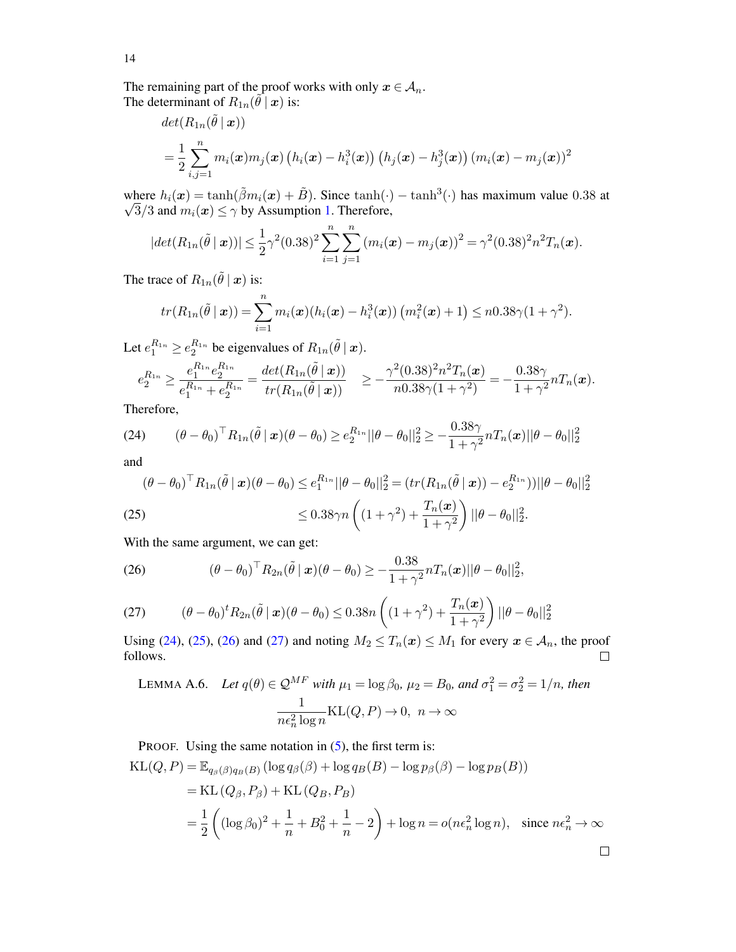The remaining part of the proof works with only  $x \in A_n$ . The determinant of  $R_{1n}(\vec{\theta} \mid \bm{x})$  is:

$$
det(R_{1n}(\tilde{\theta} \mid \boldsymbol{x}))
$$
  
=  $\frac{1}{2} \sum_{i,j=1}^{n} m_i(\boldsymbol{x}) m_j(\boldsymbol{x}) (h_i(\boldsymbol{x}) - h_i^3(\boldsymbol{x})) (h_j(\boldsymbol{x}) - h_j^3(\boldsymbol{x})) (m_i(\boldsymbol{x}) - m_j(\boldsymbol{x}))^2$ 

where  $h_i(\boldsymbol{x}) = \tanh(\tilde{\beta}m_i(\boldsymbol{x}) + \tilde{B})$ . Since  $\tanh(\cdot) - \tanh^3(\cdot)$  has maximum value 0.38 at  $\sqrt{3}/3$  and  $m_i(x) \le \gamma$  by Assumption [1.](#page-5-0) Therefore,

$$
|det(R_{1n}(\tilde{\theta} \mid \boldsymbol{x}))| \leq \frac{1}{2}\gamma^2(0.38)^2 \sum_{i=1}^n \sum_{j=1}^n (m_i(\boldsymbol{x}) - m_j(\boldsymbol{x}))^2 = \gamma^2(0.38)^2 n^2 T_n(\boldsymbol{x}).
$$

The trace of  $R_{1n}(\tilde{\theta} \mid \boldsymbol{x})$  is:

$$
tr(R_{1n}(\tilde{\theta} \mid \boldsymbol{x})) = \sum_{i=1}^{n} m_i(\boldsymbol{x}) (h_i(\boldsymbol{x}) - h_i^3(\boldsymbol{x})) (m_i^2(\boldsymbol{x}) + 1) \leq n0.38\gamma(1 + \gamma^2).
$$

Let  $e_1^{R_{1n}} \ge e_2^{R_{1n}}$  be eigenvalues of  $R_{1n}(\tilde{\theta} \mid \boldsymbol{x})$ .

$$
e_2^{R_{1n}} \ge \frac{e_1^{R_{1n}} e_2^{R_{1n}}}{e_1^{R_{1n}} + e_2^{R_{1n}}} = \frac{\det(R_{1n}(\tilde{\theta} \mid \boldsymbol{x}))}{tr(R_{1n}(\tilde{\theta} \mid \boldsymbol{x}))} \ge -\frac{\gamma^2 (0.38)^2 n^2 T_n(\boldsymbol{x})}{n 0.38 \gamma (1 + \gamma^2)} = -\frac{0.38 \gamma}{1 + \gamma^2} n T_n(\boldsymbol{x}).
$$

Therefore,

<span id="page-13-0"></span>(24) 
$$
(\theta - \theta_0)^{\top} R_{1n}(\tilde{\theta} \mid \boldsymbol{x}) (\theta - \theta_0) \ge e_2^{R_{1n}} ||\theta - \theta_0||_2^2 \ge -\frac{0.38\gamma}{1 + \gamma^2} n T_n(\boldsymbol{x}) ||\theta - \theta_0||_2^2
$$

and

<span id="page-13-1"></span>
$$
(\theta - \theta_0)^{\top} R_{1n}(\tilde{\theta} \mid \mathbf{x})(\theta - \theta_0) \le e_1^{R_{1n}} ||\theta - \theta_0||_2^2 = (tr(R_{1n}(\tilde{\theta} \mid \mathbf{x})) - e_2^{R_{1n}})) ||\theta - \theta_0||_2^2
$$
  
(25)  

$$
\le 0.38\gamma n \left( (1 + \gamma^2) + \frac{T_n(\mathbf{x})}{1 + \gamma^2} \right) ||\theta - \theta_0||_2^2.
$$

With the same argument, we can get:

<span id="page-13-2"></span>(26) 
$$
(\theta - \theta_0)^{\top} R_{2n}(\tilde{\theta} \mid \boldsymbol{x}) (\theta - \theta_0) \geq -\frac{0.38}{1 + \gamma^2} n T_n(\boldsymbol{x}) ||\theta - \theta_0||_2^2,
$$

<span id="page-13-3"></span>(27) 
$$
(\theta - \theta_0)^t R_{2n}(\tilde{\theta} | \mathbf{x}) (\theta - \theta_0) \le 0.38n \left( (1 + \gamma^2) + \frac{T_n(\mathbf{x})}{1 + \gamma^2} \right) ||\theta - \theta_0||_2^2
$$

Using [\(24\)](#page-13-0), [\(25\)](#page-13-1), [\(26\)](#page-13-2) and [\(27\)](#page-13-3) and noting  $M_2 \leq T_n(x) \leq M_1$  for every  $x \in A_n$ , the proof follows.  $\Box$ 

<span id="page-13-4"></span>LEMMA A.6. Let 
$$
q(\theta) \in \mathcal{Q}^{MF}
$$
 with  $\mu_1 = \log \beta_0$ ,  $\mu_2 = B_0$ , and  $\sigma_1^2 = \sigma_2^2 = 1/n$ , then  
\n
$$
\frac{1}{n\epsilon_n^2 \log n} \text{KL}(Q, P) \to 0, \ n \to \infty
$$

PROOF. Using the same notation in [\(5\)](#page-3-2), the first term is:

$$
KL(Q, P) = \mathbb{E}_{q_{\beta}(\beta)q_{B}(B)} (\log q_{\beta}(\beta) + \log q_{B}(B) - \log p_{\beta}(\beta) - \log p_{B}(B))
$$
  
= KL (Q\_{\beta}, P\_{\beta}) + KL (Q\_{B}, P\_{B})  

$$
= \frac{1}{2} \left( (\log \beta_{0})^{2} + \frac{1}{n} + B_{0}^{2} + \frac{1}{n} - 2 \right) + \log n = o(n\epsilon_{n}^{2} \log n), \text{ since } n\epsilon_{n}^{2} \to \infty
$$

14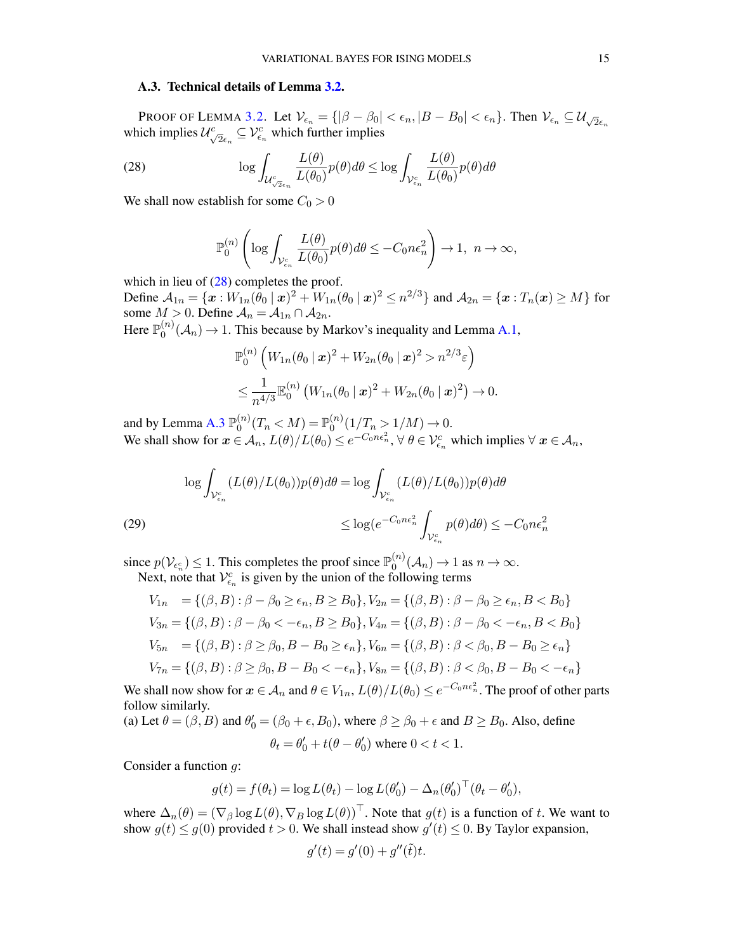### A.3. Technical details of Lemma [3.2.](#page-5-3)

PROOF OF LEMMA [3.2.](#page-5-3) Let  $V_{\epsilon_n} = \{ |\beta - \beta_0| < \epsilon_n, |B - B_0| < \epsilon_n \}$ . Then  $V_{\epsilon_n} \subseteq U_{\sqrt{2}\epsilon_n}$  which implies  $U_{\sqrt{2}\epsilon_n}^c \subseteq V_{\epsilon_n}^c$  which further implies

(28) 
$$
\log \int_{\mathcal{U}_{\sqrt{2}\epsilon_n}^c} \frac{L(\theta)}{L(\theta_0)} p(\theta) d\theta \le \log \int_{\mathcal{V}_{\epsilon_n}^c} \frac{L(\theta)}{L(\theta_0)} p(\theta) d\theta
$$

We shall now establish for some  $C_0 > 0$ 

<span id="page-14-0"></span>
$$
\mathbb{P}_0^{(n)}\left(\log\int_{\mathcal{V}_{\varepsilon_n}^c}\frac{L(\theta)}{L(\theta_0)}p(\theta)d\theta\leq -C_0n\epsilon_n^2\right)\to 1,\ \ n\to\infty,
$$

which in lieu of  $(28)$  completes the proof.

Define  $A_{1n} = \{x : W_{1n}(\bar{\theta}_0 \mid x)^2 + W_{1n}(\theta_0 \mid x)^2 \le n^{2/3}\}$  and  $A_{2n} = \{x : T_n(x) \ge M\}$  for some  $M > 0$ . Define  $\mathcal{A}_n = \mathcal{A}_{1n} \cap \mathcal{A}_{2n}$ .

Here  $\mathbb{P}_0^{(n)}$  $O_0^{(n)}(\mathcal{A}_n) \to 1$ . This because by Markov's inequality and Lemma [A.1,](#page-11-5)

$$
\mathbb{P}_0^{(n)}\left(W_{1n}(\theta_0 \,|\, \bm{x})^2 + W_{2n}(\theta_0 \,|\, \bm{x})^2 > n^{2/3}\varepsilon\right) \\
\leq \frac{1}{n^{4/3}} \mathbb{E}_0^{(n)}\left(W_{1n}(\theta_0 \,|\, \bm{x})^2 + W_{2n}(\theta_0 \,|\, \bm{x})^2\right) \to 0.
$$

and by Lemma [A.3](#page-11-2)  $\mathbb{P}_0^{(n)}$  $\binom{n}{0}(T_n < M) = \mathbb{P}_0^{(n)}$  $_0^{(n)}(1/T_n > 1/M) \to 0.$ We shall show for  $\boldsymbol{x} \in A_n$ ,  $L(\theta)/L(\theta_0) \leq e^{-C_0 n \epsilon_n^2}$ ,  $\forall \ \theta \in \mathcal{V}_{\epsilon_n}^c$  which implies  $\forall \ \boldsymbol{x} \in \mathcal{A}_n$ ,

$$
\log \int_{\mathcal{V}_{\epsilon_n}^c} (L(\theta)/L(\theta_0)) p(\theta) d\theta = \log \int_{\mathcal{V}_{\epsilon_n}^c} (L(\theta)/L(\theta_0)) p(\theta) d\theta
$$
  
(29)  

$$
\leq \log(e^{-C_0 n \epsilon_n^2} \int_{\mathcal{V}_{\epsilon_n}^c} p(\theta) d\theta) \leq -C_0 n \epsilon_n^2
$$

since  $p(\mathcal{V}_{\epsilon_n^c}) \leq 1$ . This completes the proof since  $\mathbb{P}_0^{(n)}$ Next, note that  $V_{\epsilon_n}^c$  is given by the union of the following terms  $\chi_0^{(n)}(\mathcal{A}_n) \to 1$  as  $n \to \infty$ .

$$
V_{1n} = \{ (\beta, B) : \beta - \beta_0 \ge \epsilon_n, B \ge B_0 \}, V_{2n} = \{ (\beta, B) : \beta - \beta_0 \ge \epsilon_n, B < B_0 \}
$$
\n
$$
V_{3n} = \{ (\beta, B) : \beta - \beta_0 < -\epsilon_n, B \ge B_0 \}, V_{4n} = \{ (\beta, B) : \beta - \beta_0 < -\epsilon_n, B < B_0 \}
$$
\n
$$
V_{5n} = \{ (\beta, B) : \beta \ge \beta_0, B - B_0 \ge \epsilon_n \}, V_{6n} = \{ (\beta, B) : \beta < \beta_0, B - B_0 \ge \epsilon_n \}
$$
\n
$$
V_{7n} = \{ (\beta, B) : \beta \ge \beta_0, B - B_0 < -\epsilon_n \}, V_{8n} = \{ (\beta, B) : \beta < \beta_0, B - B_0 < -\epsilon_n \}
$$

We shall now show for  $x \in A_n$  and  $\theta \in V_{1n}$ ,  $L(\theta)/L(\theta_0) \le e^{-C_0n\epsilon_n^2}$ . The proof of other parts follow similarly.

(a) Let 
$$
\theta = (\beta, B)
$$
 and  $\theta'_0 = (\beta_0 + \epsilon, B_0)$ , where  $\beta \ge \beta_0 + \epsilon$  and  $B \ge B_0$ . Also, define  

$$
\theta_t = \theta'_0 + t(\theta - \theta'_0) \text{ where } 0 < t < 1.
$$

Consider a function g:

$$
g(t) = f(\theta_t) = \log L(\theta_t) - \log L(\theta'_0) - \Delta_n(\theta'_0)^\top (\theta_t - \theta'_0),
$$

where  $\Delta_n(\theta) = (\nabla_\beta \log L(\theta), \nabla_B \log L(\theta))^{\top}$ . Note that  $g(t)$  is a function of t. We want to show  $g(t) \le g(0)$  provided  $t > 0$ . We shall instead show  $g'(t) \le 0$ . By Taylor expansion,

$$
g'(t) = g'(0) + g''(\tilde{t})t.
$$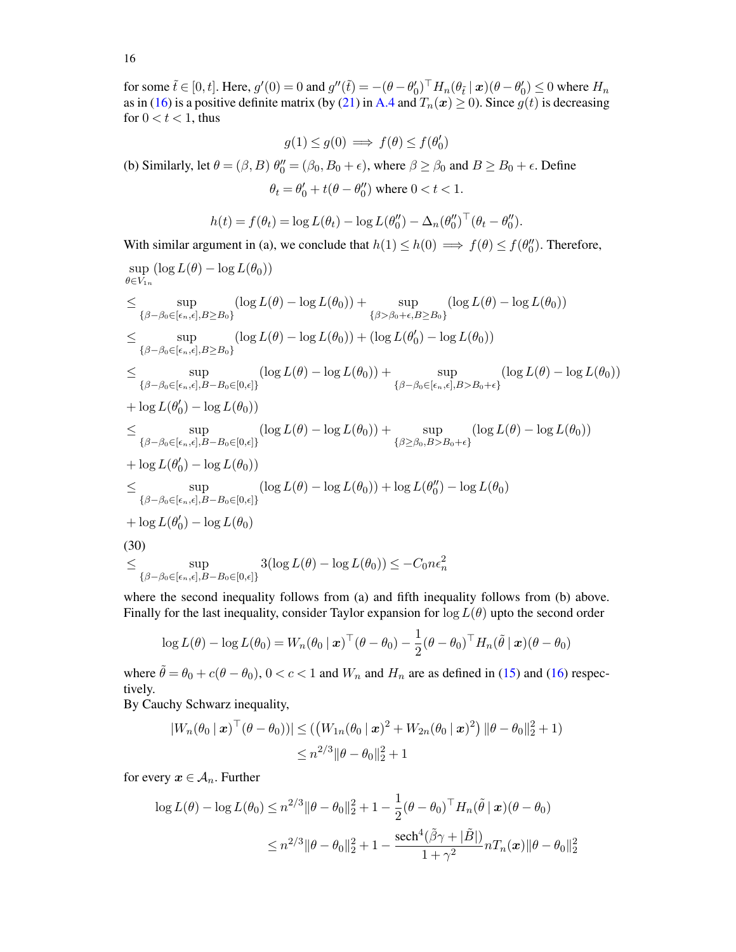for some  $\tilde{t} \in [0, t]$ . Here,  $g'(0) = 0$  and  $g''(\tilde{t}) = -(\theta - \theta_0')^\top H_n(\theta_{\tilde{t}} \mid \boldsymbol{x})(\theta - \theta_0') \le 0$  where  $H_n$ as in [\(16\)](#page-11-1) is a positive definite matrix (by [\(21\)](#page-12-0) in [A.4](#page-11-6) and  $T_n(x) \ge 0$ ). Since  $g(t)$  is decreasing for  $0 < t < 1$ , thus

$$
g(1) \le g(0) \implies f(\theta) \le f(\theta'_0)
$$

(b) Similarly, let  $\theta = (\beta, B)$   $\theta''_0 = (\beta_0, B_0 + \epsilon)$ , where  $\beta \ge \beta_0$  and  $B \ge B_0 + \epsilon$ . Define

 $\theta_t = \theta'_0 + t(\theta - \theta''_0)$  where  $0 < t < 1$ .

$$
h(t) = f(\theta_t) = \log L(\theta_t) - \log L(\theta_0'') - \Delta_n(\theta_0'')^\top (\theta_t - \theta_0'').
$$

With similar argument in (a), we conclude that  $h(1) \le h(0) \implies f(\theta) \le f(\theta_0'')$ . Therefore,

$$
\sup_{\theta \in V_{1n}} (\log L(\theta) - \log L(\theta_0))
$$
\n
$$
\leq \sup_{\{\beta-\beta_0 \in [\epsilon_n,\epsilon], B \geq B_0\}} (\log L(\theta) - \log L(\theta_0)) + \sup_{\{\beta > \beta_0 + \epsilon, B \geq B_0\}} (\log L(\theta) - \log L(\theta_0))
$$
\n
$$
\leq \sup_{\{\beta-\beta_0 \in [\epsilon_n,\epsilon], B \geq B_0\}} (\log L(\theta) - \log L(\theta_0)) + (\log L(\theta'_0) - \log L(\theta_0))
$$
\n
$$
\leq \sup_{\{\beta-\beta_0 \in [\epsilon_n,\epsilon], B - B_0 \in [0,\epsilon]\}} (\log L(\theta) - \log L(\theta_0)) + \sup_{\{\beta-\beta_0 \in [\epsilon_n,\epsilon], B > B_0 + \epsilon\}} (\log L(\theta) - \log L(\theta_0))
$$
\n
$$
+ \log L(\theta'_0) - \log L(\theta_0))
$$
\n
$$
\leq \sup_{\{\beta-\beta_0 \in [\epsilon_n,\epsilon], B - B_0 \in [0,\epsilon]\}} (\log L(\theta) - \log L(\theta_0)) + \sup_{\{\beta \geq \beta_0, B > B_0 + \epsilon\}} (\log L(\theta) - \log L(\theta_0))
$$
\n
$$
+ \log L(\theta'_0) - \log L(\theta_0))
$$
\n
$$
\leq \sup_{\{\beta-\beta_0 \in [\epsilon_n,\epsilon], B - B_0 \in [0,\epsilon]\}} (\log L(\theta) - \log L(\theta_0)) + \log L(\theta''_0) - \log L(\theta_0)
$$
\n
$$
+ \log L(\theta'_0) - \log L(\theta_0)
$$
\n(30)\n
$$
\leq \sup_{\{\beta-\beta_0 \in [\epsilon_n,\epsilon], B - B_0 \in [0,\epsilon]\}} 3(\log L(\theta) - \log L(\theta_0)) \leq -C_0 n \epsilon_n^2
$$
\n
$$
\leq \sup_{\{\beta-\beta_0 \in [\epsilon_n,\epsilon], B - B_0 \in [0,\epsilon]\}} 3(\log L(\theta) - \log L(\theta_0)) \leq -C_0 n \epsilon_n^2
$$

where the second inequality follows from (a) and fifth inequality follows from (b) above. Finally for the last inequality, consider Taylor expansion for  $\log L(\theta)$  upto the second order

$$
\log L(\theta) - \log L(\theta_0) = W_n(\theta_0 \mid \boldsymbol{x})^\top (\theta - \theta_0) - \frac{1}{2} (\theta - \theta_0)^\top H_n(\tilde{\theta} \mid \boldsymbol{x}) (\theta - \theta_0)
$$

where  $\tilde{\theta} = \theta_0 + c(\theta - \theta_0)$ ,  $0 < c < 1$  and  $W_n$  and  $H_n$  are as defined in [\(15\)](#page-11-0) and [\(16\)](#page-11-1) respectively.

By Cauchy Schwarz inequality,

$$
|W_n(\theta_0 | \mathbf{x})^\top (\theta - \theta_0))| \le ((W_{1n}(\theta_0 | \mathbf{x})^2 + W_{2n}(\theta_0 | \mathbf{x})^2) ||\theta - \theta_0||_2^2 + 1)
$$
  

$$
\le n^{2/3} ||\theta - \theta_0||_2^2 + 1
$$

for every  $x \in A_n$ . Further

$$
\log L(\theta) - \log L(\theta_0) \le n^{2/3} \|\theta - \theta_0\|_2^2 + 1 - \frac{1}{2} (\theta - \theta_0)^\top H_n(\tilde{\theta} \mid \mathbf{x}) (\theta - \theta_0)
$$
  

$$
\le n^{2/3} \|\theta - \theta_0\|_2^2 + 1 - \frac{\text{sech}^4(\tilde{\beta}\gamma + |\tilde{B}|)}{1 + \gamma^2} n T_n(\mathbf{x}) \|\theta - \theta_0\|_2^2
$$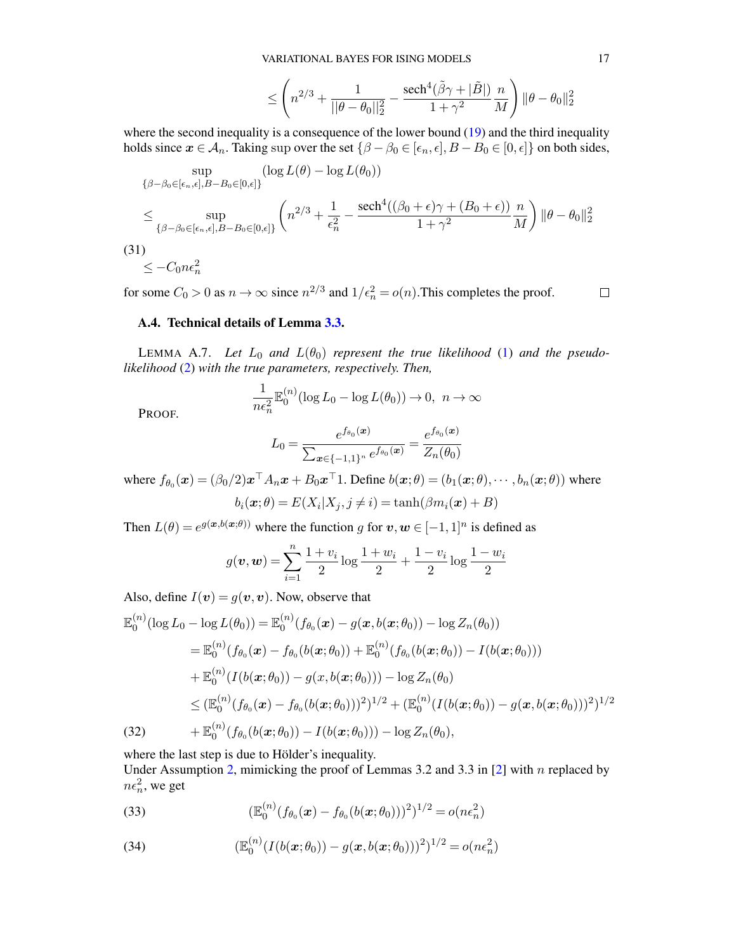$$
\leq \left(n^{2/3} + \frac{1}{||\theta - \theta_0||_2^2} - \frac{\text{sech}^4(\tilde{\beta}\gamma + |\tilde{B}|)}{1 + \gamma^2} \frac{n}{M}\right) ||\theta - \theta_0||_2^2
$$

where the second inequality is a consequence of the lower bound [\(19\)](#page-12-1) and the third inequality holds since  $x \in A_n$ . Taking sup over the set  $\{\beta - \beta_0 \in [\epsilon_n, \epsilon], B - B_0 \in [0, \epsilon]\}$  on both sides,

$$
\sup_{\{\beta-\beta_0\in[\epsilon_n,\epsilon],B-B_0\in[0,\epsilon]\}} (\log L(\theta) - \log L(\theta_0))
$$
\n
$$
\leq \sup_{\{\beta-\beta_0\in[\epsilon_n,\epsilon],B-B_0\in[0,\epsilon]\}} \left( n^{2/3} + \frac{1}{\epsilon_n^2} - \frac{\operatorname{sech}^4((\beta_0+\epsilon)\gamma + (B_0+\epsilon))}{1+\gamma^2} \frac{n}{M} \right) \|\theta-\theta_0\|_2^2
$$
\n(31)\n
$$
\leq -C_0 n \epsilon_n^2
$$

for some  $C_0 > 0$  as  $n \to \infty$  since  $n^{2/3}$  and  $1/\epsilon_n^2 = o(n)$ . This completes the proof.  $\Box$ 

### A.4. Technical details of Lemma [3.3.](#page-6-0)

<span id="page-16-3"></span>LEMMA A.7. Let  $L_0$  and  $L(\theta_0)$  represent the true likelihood [\(1\)](#page-2-0) and the pseudo*likelihood* [\(2\)](#page-2-1) *with the true parameters, respectively. Then,*

$$
\frac{1}{n\epsilon_n^2} \mathbb{E}_0^{(n)}(\log L_0 - \log L(\theta_0)) \to 0, \ n \to \infty
$$

PROOF.

$$
L_0 = \frac{e^{f_{\theta_0}(\boldsymbol{x})}}{\sum_{\boldsymbol{x} \in \{-1,1\}^n} e^{f_{\theta_0}(\boldsymbol{x})}} = \frac{e^{f_{\theta_0}(\boldsymbol{x})}}{Z_n(\theta_0)}
$$

where  $f_{\theta_0}(\bm{x}) = (\beta_0/2)\bm{x}^\top A_n\bm{x} + B_0\bm{x}^\top 1$ . Define  $b(\bm{x}; \theta) = (b_1(\bm{x}; \theta), \cdots, b_n(\bm{x}; \theta))$  where  $b_i(\boldsymbol{x};\theta) = E(X_i | X_j, j \neq i) = \tanh(\beta m_i(\boldsymbol{x}) + B)$ 

Then  $L(\theta) = e^{g(x, b(x;\theta))}$  where the function g for  $v, w \in [-1, 1]^n$  is defined as

$$
g(\boldsymbol{v}, \boldsymbol{w}) = \sum_{i=1}^{n} \frac{1+v_i}{2} \log \frac{1+w_i}{2} + \frac{1-v_i}{2} \log \frac{1-w_i}{2}
$$

Also, define  $I(v) = g(v, v)$ . Now, observe that

$$
\mathbb{E}_{0}^{(n)}(\log L_{0} - \log L(\theta_{0})) = \mathbb{E}_{0}^{(n)}(f_{\theta_{0}}(\boldsymbol{x}) - g(\boldsymbol{x}, b(\boldsymbol{x}; \theta_{0})) - \log Z_{n}(\theta_{0}))
$$
\n
$$
= \mathbb{E}_{0}^{(n)}(f_{\theta_{0}}(\boldsymbol{x}) - f_{\theta_{0}}(b(\boldsymbol{x}; \theta_{0})) + \mathbb{E}_{0}^{(n)}(f_{\theta_{0}}(b(\boldsymbol{x}; \theta_{0})) - I(b(\boldsymbol{x}; \theta_{0})))
$$
\n
$$
+ \mathbb{E}_{0}^{(n)}(I(b(\boldsymbol{x}; \theta_{0})) - g(\boldsymbol{x}, b(\boldsymbol{x}; \theta_{0}))) - \log Z_{n}(\theta_{0})
$$
\n
$$
\leq (\mathbb{E}_{0}^{(n)}(f_{\theta_{0}}(\boldsymbol{x}) - f_{\theta_{0}}(b(\boldsymbol{x}; \theta_{0})))^{2})^{1/2} + (\mathbb{E}_{0}^{(n)}(I(b(\boldsymbol{x}; \theta_{0})) - g(\boldsymbol{x}, b(\boldsymbol{x}; \theta_{0})))^{2})^{1/2}
$$
\n(32)\n
$$
+ \mathbb{E}_{0}^{(n)}(f_{\theta_{0}}(b(\boldsymbol{x}; \theta_{0})) - I(b(\boldsymbol{x}; \theta_{0}))) - \log Z_{n}(\theta_{0}),
$$

<span id="page-16-2"></span>where the last step is due to Hölder's inequality.

Under Assumption [2,](#page-5-1) mimicking the proof of Lemmas 3.2 and 3.3 in  $[2]$  with n replaced by  $n\epsilon_n^2$ , we get

<span id="page-16-0"></span>(33) 
$$
(\mathbb{E}_0^{(n)}(f_{\theta_0}(\boldsymbol{x}) - f_{\theta_0}(b(\boldsymbol{x}; \theta_0)))^2)^{1/2} = o(n\epsilon_n^2)
$$

<span id="page-16-1"></span>(34) 
$$
(\mathbb{E}_0^{(n)}(I(b(\boldsymbol{x};\theta_0)) - g(\boldsymbol{x},b(\boldsymbol{x};\theta_0)))^2)^{1/2} = o(n\epsilon_n^2)
$$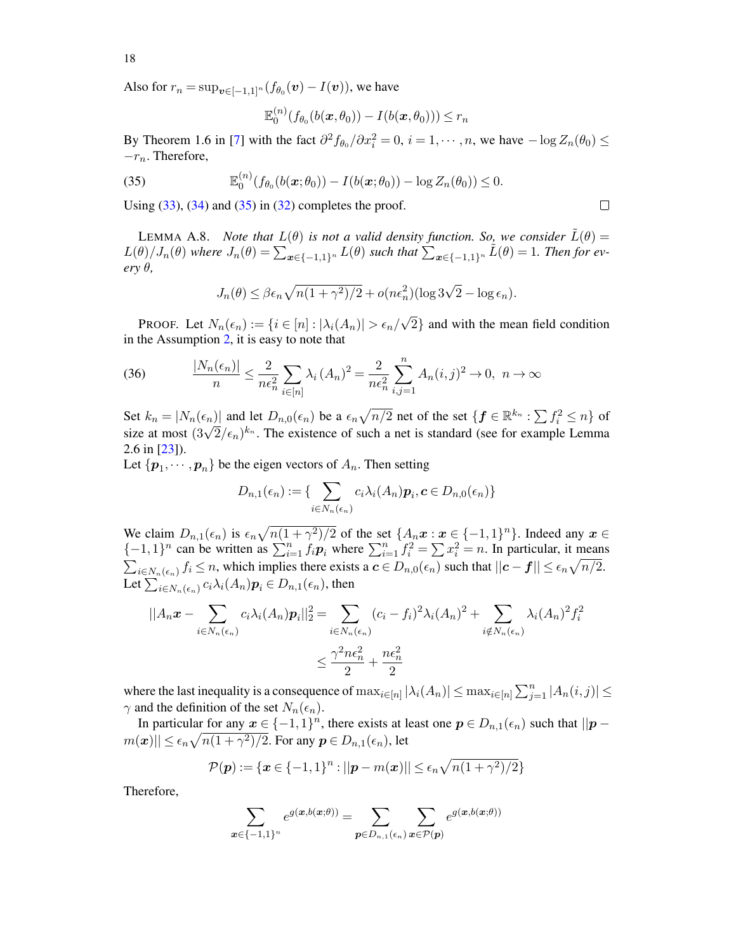Also for  $r_n = \sup_{\bm{v} \in [-1,1]^n} (f_{\theta_0}(\bm{v}) - I(\bm{v}))$ , we have

$$
\mathbb{E}_0^{(n)}(f_{\theta_0}(b(\boldsymbol{x},\theta_0))-I(b(\boldsymbol{x},\theta_0)))\leq r_n
$$

By Theorem 1.6 in [\[7\]](#page-25-23) with the fact  $\partial^2 f_{\theta_0}/\partial x_i^2 = 0$ ,  $i = 1, \dots, n$ , we have  $-\log Z_n(\theta_0) \le$  $-r_n$ . Therefore,

<span id="page-17-0"></span>(35) 
$$
\mathbb{E}_0^{(n)}(f_{\theta_0}(b(\bm{x};\theta_0)) - I(b(\bm{x};\theta_0)) - \log Z_n(\theta_0)) \leq 0.
$$

Using  $(33)$ ,  $(34)$  and  $(35)$  in  $(32)$  completes the proof.

<span id="page-17-1"></span>LEMMA A.8. *Note that*  $L(\theta)$  *is not a valid density function. So, we consider*  $\dot{L}(\theta)$  =  $L(\theta)/J_n(\theta)$  where  $J_n(\theta) = \sum_{x \in \{-1,1\}^n} L(\theta)$  such that  $\sum_{x \in \{-1,1\}^n} \tilde{L}(\theta) = 1$ . Then for ev*ery* θ*,*

$$
J_n(\theta) \le \beta \epsilon_n \sqrt{n(1+\gamma^2)/2} + o(n\epsilon_n^2)(\log 3\sqrt{2} - \log \epsilon_n).
$$

Proof. Let  $N_n(\epsilon_n) := \{i \in [n] : |\lambda_i(A_n)| > \epsilon_n/$ 2} and with the mean field condition in the Assumption [2,](#page-5-1) it is easy to note that

(36) 
$$
\frac{|N_n(\epsilon_n)|}{n} \le \frac{2}{n\epsilon_n^2} \sum_{i \in [n]} \lambda_i (A_n)^2 = \frac{2}{n\epsilon_n^2} \sum_{i,j=1}^n A_n(i,j)^2 \to 0, \ n \to \infty
$$

Set  $k_n = |N_n(\epsilon_n)|$  and let  $D_{n,0}(\epsilon_n)$  be a  $\epsilon_n \sqrt{n/2}$  net of the set  $\{ \boldsymbol{f} \in \mathbb{R}^{k_n} : \sum f_i^2 \leq n \}$  of set  $\kappa_n = |N_n(\epsilon_n)|$  and let  $D_{n,0}(\epsilon_n)$  be a  $\epsilon_n \sqrt{n/2}$  het of the set  $\{J \in \mathbb{R}^n : \sum J_i \le n\}$  or size at most  $(3\sqrt{2}/\epsilon_n)^{k_n}$ . The existence of such a net is standard (see for example Lemma 2.6 in [\[23\]](#page-25-24)).

Let  $\{p_1, \cdots, p_n\}$  be the eigen vectors of  $A_n$ . Then setting

$$
D_{n,1}(\epsilon_n) := \{ \sum_{i \in N_n(\epsilon_n)} c_i \lambda_i(A_n) \mathbf{p}_i, \mathbf{c} \in D_{n,0}(\epsilon_n) \}
$$

We claim  $D_{n,1}(\epsilon_n)$  is  $\epsilon_n \sqrt{n(1 + \gamma^2)/2}$  of the set  $\{A_n x : x \in \{-1,1\}^n\}$ . Indeed any  $x \in$  $\{-1,1\}^n$  can be written as  $\sum_{i=1}^n f_i \mathbf{p}_i$  where  $\sum_{i=1}^n f_i^2 = \sum x_i^2 = n$ . In particular, it means  $\sum_{i\in N_n(\epsilon_n)} f_i \leq n$ , which implies there exists a  $c \in D_{n,0}(\epsilon_n)$  such that  $||c - f|| \leq \epsilon_n \sqrt{n/2}$ . Let  $\sum_{i\in N_n(\epsilon_n)}c_i\lambda_i(A_n)\bm{p}_i\in D_{n,1}(\epsilon_n)$ , then

$$
||A_n \mathbf{x} - \sum_{i \in N_n(\epsilon_n)} c_i \lambda_i(A_n) \mathbf{p}_i||_2^2 = \sum_{i \in N_n(\epsilon_n)} (c_i - f_i)^2 \lambda_i(A_n)^2 + \sum_{i \notin N_n(\epsilon_n)} \lambda_i(A_n)^2 f_i^2
$$
  

$$
\leq \frac{\gamma^2 n \epsilon_n^2}{2} + \frac{n \epsilon_n^2}{2}
$$

where the last inequality is a consequence of  $\max_{i\in[n]}|\lambda_i(A_n)| \leq \max_{i\in[n]}|\sum_{j=1}^n|A_n(i,j)| \leq$  $\gamma$  and the definition of the set  $N_n(\epsilon_n)$ .

In particular for any  $x \in \{-1,1\}^n$ , there exists at least one  $p \in D_{n,1}(\epsilon_n)$  such that  $||p - p||$  $m(\boldsymbol{x})|| \leq \epsilon_n \sqrt{n(1+\gamma^2)/2}.$  For any  $\boldsymbol{p} \in D_{n,1}(\epsilon_n)$ , let

$$
\mathcal{P}(\boldsymbol{p}) := \{ \boldsymbol{x} \in \{-1,1\}^n : ||\boldsymbol{p} - m(\boldsymbol{x})|| \le \epsilon_n \sqrt{n(1+\gamma^2)/2} \}
$$

Therefore,

$$
\sum_{\boldsymbol{x}\in\{-1,1\}^n}e^{g(\boldsymbol{x},b(\boldsymbol{x};\theta))}=\sum_{\boldsymbol{p}\in D_{n,1}(\epsilon_n)}\sum_{\boldsymbol{x}\in\mathcal{P}(\boldsymbol{p})}e^{g(\boldsymbol{x},b(\boldsymbol{x};\theta))}
$$

 $\Box$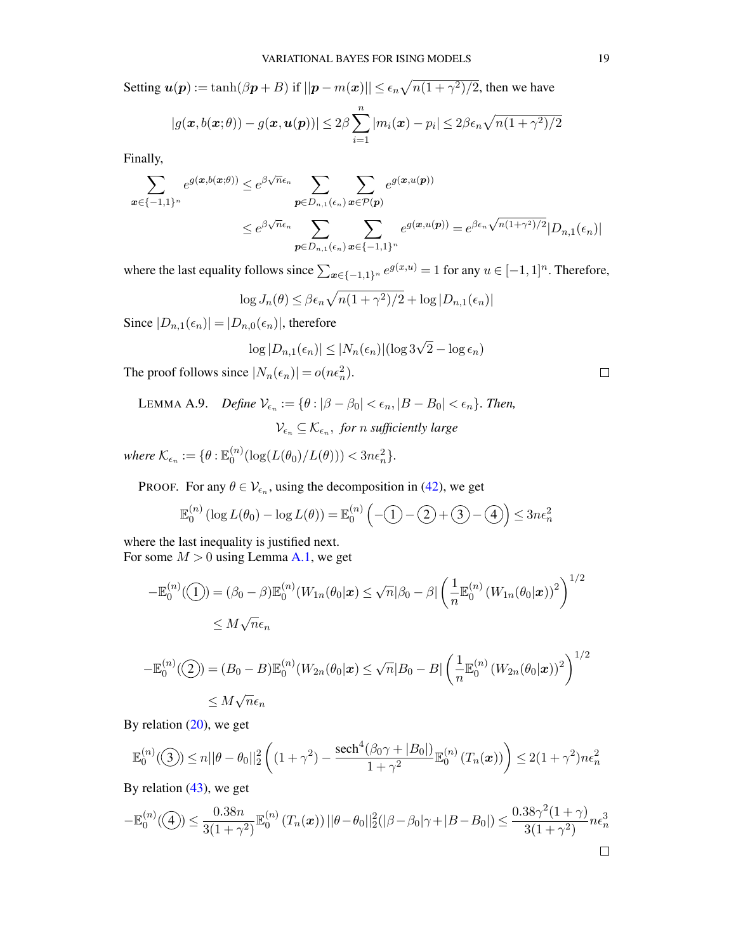Setting  $u(p) := \tanh(\beta p + B)$  if  $||p - m(x)|| \leq \epsilon_n \sqrt{n(1 + \gamma^2)/2}$ , then we have

$$
|g(\boldsymbol{x},b(\boldsymbol{x};\theta)) - g(\boldsymbol{x},\boldsymbol{u}(\boldsymbol{p}))| \leq 2\beta \sum_{i=1}^n |m_i(\boldsymbol{x}) - p_i| \leq 2\beta \epsilon_n \sqrt{n(1+\gamma^2)/2}
$$

Finally,

$$
\sum_{\mathbf{x}\in\{-1,1\}^n} e^{g(\mathbf{x},b(\mathbf{x};\theta))} \leq e^{\beta\sqrt{n}\epsilon_n} \sum_{\mathbf{p}\in D_{n,1}(\epsilon_n)} \sum_{\mathbf{x}\in\mathcal{P}(\mathbf{p})} e^{g(\mathbf{x},u(\mathbf{p}))}
$$
\n
$$
\leq e^{\beta\sqrt{n}\epsilon_n} \sum_{\mathbf{p}\in D_{n,1}(\epsilon_n)} \sum_{\mathbf{x}\in\{-1,1\}^n} e^{g(\mathbf{x},u(\mathbf{p}))} = e^{\beta\epsilon_n\sqrt{n(1+\gamma^2)/2}} |D_{n,1}(\epsilon_n)|
$$

where the last equality follows since  $\sum_{x \in \{-1,1\}^n} e^{g(x,u)} = 1$  for any  $u \in [-1,1]^n$ . Therefore,

$$
\log J_n(\theta) \le \beta \epsilon_n \sqrt{n(1+\gamma^2)/2} + \log |D_{n,1}(\epsilon_n)|
$$

Since  $|D_{n,1}(\epsilon_n)| = |D_{n,0}(\epsilon_n)|$ , therefore

$$
\log |D_{n,1}(\epsilon_n)| \leq |N_n(\epsilon_n)| (\log 3\sqrt{2} - \log \epsilon_n)
$$

The proof follows since  $|N_n(\epsilon_n)| = o(n\epsilon_n^2)$ .

<span id="page-18-0"></span>LEMMA A.9. *Define*  $V_{\epsilon_n} := {\theta : |\beta - \beta_0| < \epsilon_n, |B - B_0| < \epsilon_n}$ . Then,  $\mathcal{V}_{\epsilon_n} \subseteq \mathcal{K}_{\epsilon_n}$ , for *n* sufficiently large

where  $\mathcal{K}_{\epsilon_n} := \{\theta : \mathbb{E}_0^{(n)}$  $\binom{n}{0} (\log(L(\theta_0)/L(\theta))) < 3n\epsilon_n^2$ .

PROOF. For any  $\theta \in \mathcal{V}_{\epsilon_n}$ , using the decomposition in [\(42\)](#page-20-0), we get

$$
\mathbb{E}_0^{(n)}\left(\log L(\theta_0) - \log L(\theta)\right) = \mathbb{E}_0^{(n)}\left(-\textcircled{1} - \textcircled{2} + \textcircled{3} - \textcircled{4}\right) \le 3n\epsilon_n^2
$$

where the last inequality is justified next. For some  $M > 0$  using Lemma [A.1,](#page-11-5) we get

$$
-\mathbb{E}_0^{(n)}(\mathbf{I}) = (\beta_0 - \beta)\mathbb{E}_0^{(n)}(W_{1n}(\theta_0|\mathbf{x}) \le \sqrt{n}|\beta_0 - \beta| \left(\frac{1}{n}\mathbb{E}_0^{(n)}(W_{1n}(\theta_0|\mathbf{x}))^2\right)^{1/2}
$$
  

$$
\le M\sqrt{n}\epsilon_n
$$

$$
-\mathbb{E}_0^{(n)}(\mathcal{Q}) = (B_0 - B)\mathbb{E}_0^{(n)}(W_{2n}(\theta_0|\mathbf{x}) \le \sqrt{n}|B_0 - B| \left(\frac{1}{n}\mathbb{E}_0^{(n)}(W_{2n}(\theta_0|\mathbf{x}))^2\right)^{1/2}
$$
  

$$
\le M\sqrt{n}\epsilon_n
$$

By relation  $(20)$ , we get

$$
\mathbb{E}_0^{(n)}(\mathfrak{I}) \le n||\theta - \theta_0||_2^2 \left( (1+\gamma^2) - \frac{\text{sech}^4(\beta_0\gamma + |B_0|)}{1+\gamma^2} \mathbb{E}_0^{(n)}\left(T_n(\boldsymbol{x})\right) \right) \le 2(1+\gamma^2)n\epsilon_n^2
$$

By relation  $(43)$ , we get

$$
-\mathbb{E}_0^{(n)}(\mathbf{I}) \le \frac{0.38n}{3(1+\gamma^2)} \mathbb{E}_0^{(n)}(T_n(\mathbf{x})) ||\theta - \theta_0||_2^2(|\beta - \beta_0|\gamma + |B - B_0|) \le \frac{0.38\gamma^2(1+\gamma)}{3(1+\gamma^2)} n\epsilon_n^3
$$

 $\Box$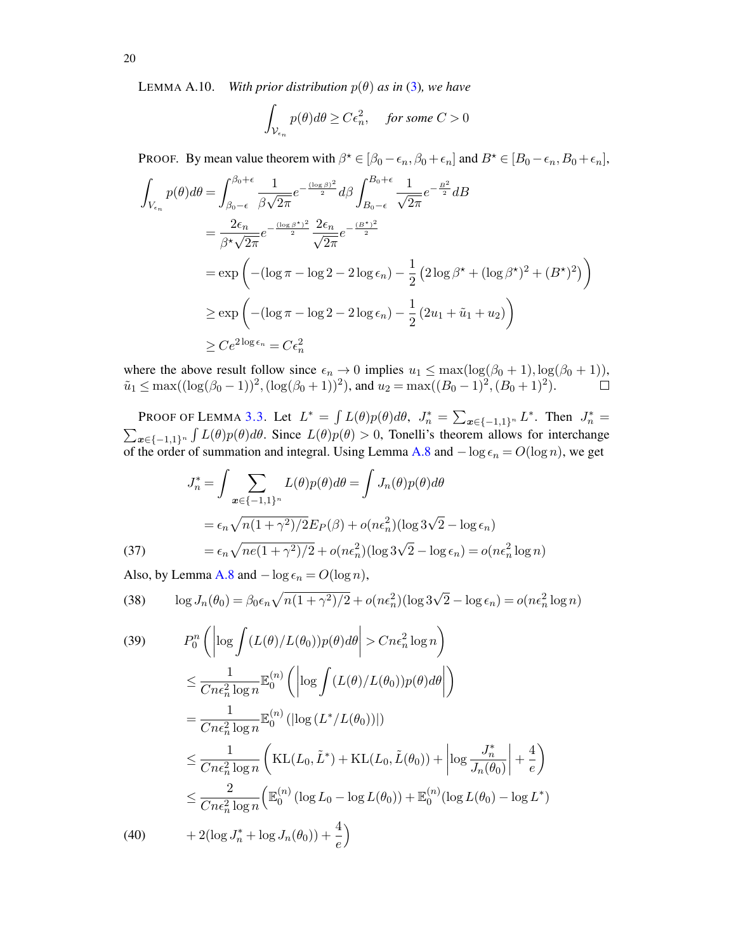<span id="page-19-0"></span>LEMMA A.10. *With prior distribution*  $p(\theta)$  *as in* [\(3\)](#page-3-3)*, we have* 

$$
\int_{\mathcal{V}_{\epsilon_n}} p(\theta) d\theta \ge C \epsilon_n^2, \quad \text{for some } C > 0
$$

**PROOF.** By mean value theorem with  $\beta^* \in [\beta_0 - \epsilon_n, \beta_0 + \epsilon_n]$  and  $B^* \in [B_0 - \epsilon_n, B_0 + \epsilon_n]$ ,

$$
\int_{V_{\epsilon_n}} p(\theta) d\theta = \int_{\beta_0 - \epsilon}^{\beta_0 + \epsilon} \frac{1}{\beta \sqrt{2\pi}} e^{-\frac{(\log \beta)^2}{2}} d\beta \int_{B_0 - \epsilon}^{B_0 + \epsilon} \frac{1}{\sqrt{2\pi}} e^{-\frac{B^2}{2}} dB
$$
\n
$$
= \frac{2\epsilon_n}{\beta^* \sqrt{2\pi}} e^{-\frac{(\log \beta^*)^2}{2}} \frac{2\epsilon_n}{\sqrt{2\pi}} e^{-\frac{(B^*)^2}{2}}
$$
\n
$$
= \exp\left(-(\log \pi - \log 2 - 2\log \epsilon_n) - \frac{1}{2} (2\log \beta^* + (\log \beta^*)^2 + (B^*)^2)\right)
$$
\n
$$
\ge \exp\left(-(\log \pi - \log 2 - 2\log \epsilon_n) - \frac{1}{2} (2u_1 + \tilde{u}_1 + u_2)\right)
$$
\n
$$
\ge C e^{2\log \epsilon_n} = C \epsilon_n^2
$$

where the above result follow since  $\epsilon_n \to 0$  implies  $u_1 \leq \max(\log(\beta_0 + 1), \log(\beta_0 + 1)),$  $\tilde{u}_1 \le \max((\log(\beta_0-1))^2, (\log(\beta_0+1))^2)$ , and  $u_2 = \max((B_0-1)^2, (B_0+1)^2)$ .

PROOF OF LEMMA [3.3.](#page-6-0) Let  $L^* = \int L(\theta)p(\theta)d\theta$ ,  $J_n^* = \sum_{x \in \{-1,1\}^n} L^*$ . Then  $J_n^* =$  $\sum_{x \in \{-1,1\}^n} \int L(\theta)p(\theta) d\theta$ . Since  $L(\theta)p(\theta) > 0$ , Tonelli's theorem allows for interchange of the order of summation and integral. Using Lemma [A.8](#page-17-1) and  $-\log \epsilon_n = O(\log n)$ , we get

(37)  
\n
$$
J_n^* = \int \sum_{\mathbf{x} \in \{-1,1\}^n} L(\theta) p(\theta) d\theta = \int J_n(\theta) p(\theta) d\theta
$$
\n
$$
= \epsilon_n \sqrt{n(1+\gamma^2)/2} E_P(\beta) + o(n\epsilon_n^2) (\log 3\sqrt{2} - \log \epsilon_n)
$$
\n
$$
= \epsilon_n \sqrt{n e(1+\gamma^2)/2} + o(n\epsilon_n^2) (\log 3\sqrt{2} - \log \epsilon_n) = o(n\epsilon_n^2 \log n)
$$

<span id="page-19-2"></span>Also, by Lemma [A.8](#page-17-1) and  $-\log \epsilon_n = O(\log n)$ ,

<span id="page-19-1"></span>(38) 
$$
\log J_n(\theta_0) = \beta_0 \epsilon_n \sqrt{n(1 + \gamma^2)/2} + o(n\epsilon_n^2)(\log 3\sqrt{2} - \log \epsilon_n) = o(n\epsilon_n^2 \log n)
$$

<span id="page-19-3"></span>(39) 
$$
P_0^n \left( \left| \log \int (L(\theta)/L(\theta_0)) p(\theta) d\theta \right| > Cn\epsilon_n^2 \log n \right)
$$
  
\n
$$
\leq \frac{1}{Cn\epsilon_n^2 \log n} \mathbb{E}_0^{(n)} \left( \left| \log \int (L(\theta)/L(\theta_0)) p(\theta) d\theta \right| \right)
$$
  
\n
$$
= \frac{1}{Cn\epsilon_n^2 \log n} \mathbb{E}_0^{(n)} \left( \left| \log (L^* / L(\theta_0)) \right| \right)
$$
  
\n
$$
\leq \frac{1}{Cn\epsilon_n^2 \log n} \left( \text{KL}(L_0, \tilde{L}^*) + \text{KL}(L_0, \tilde{L}(\theta_0)) + \left| \log \frac{J_n^*}{J_n(\theta_0)} \right| + \frac{4}{e} \right)
$$
  
\n
$$
\leq \frac{2}{Cn\epsilon_n^2 \log n} \left( \mathbb{E}_0^{(n)} \left( \log L_0 - \log L(\theta_0) \right) + \mathbb{E}_0^{(n)} (\log L(\theta_0) - \log L^*) \right)
$$
  
\n(40) 
$$
+ 2(\log J_n^* + \log J_n(\theta_0)) + \frac{4}{e} \right)
$$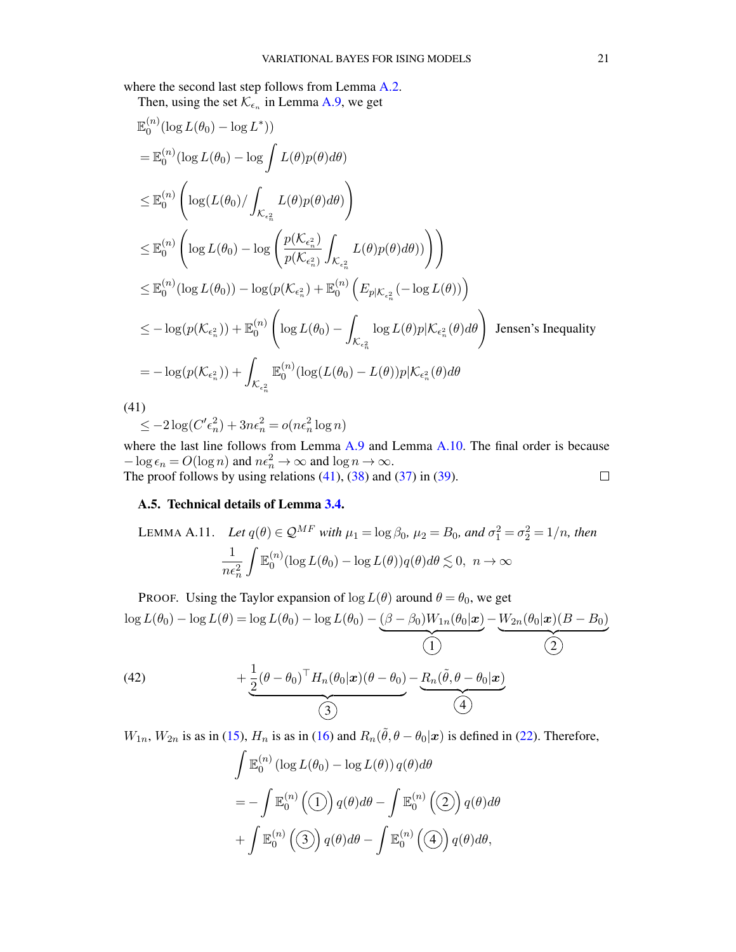where the second last step follows from Lemma [A.2.](#page-11-7)

Then, using the set 
$$
\mathcal{K}_{\epsilon_n}
$$
 in Lemma A.9, we get

$$
\mathbb{E}_{0}^{(n)}(\log L(\theta_{0}) - \log L^{*}))
$$
\n
$$
= \mathbb{E}_{0}^{(n)}(\log L(\theta_{0}) - \log \int L(\theta)p(\theta)d\theta)
$$
\n
$$
\leq \mathbb{E}_{0}^{(n)}\left(\log(L(\theta_{0})/\int_{\mathcal{K}_{\epsilon_{n}^{2}}}L(\theta)p(\theta)d\theta)\right)
$$
\n
$$
\leq \mathbb{E}_{0}^{(n)}\left(\log L(\theta_{0}) - \log \left(\frac{p(\mathcal{K}_{\epsilon_{n}^{2}})}{p(\mathcal{K}_{\epsilon_{n}^{2}})}\int_{\mathcal{K}_{\epsilon_{n}^{2}}}L(\theta)p(\theta)d\theta)\right)\right)
$$
\n
$$
\leq \mathbb{E}_{0}^{(n)}(\log L(\theta_{0})) - \log(p(\mathcal{K}_{\epsilon_{n}^{2}}) + \mathbb{E}_{0}^{(n)}\left(E_{p|\mathcal{K}_{\epsilon_{n}^{2}}}(-\log L(\theta))\right)
$$
\n
$$
\leq -\log(p(\mathcal{K}_{\epsilon_{n}^{2}})) + \mathbb{E}_{0}^{(n)}\left(\log L(\theta_{0}) - \int_{\mathcal{K}_{\epsilon_{n}^{2}}} \log L(\theta)p|\mathcal{K}_{\epsilon_{n}^{2}}(\theta)d\theta\right) \text{ Jensen's Inequality}
$$
\n
$$
= -\log(p(\mathcal{K}_{\epsilon_{n}^{2}})) + \int_{\mathcal{K}_{\epsilon_{n}^{2}}} \mathbb{E}_{0}^{(n)}(\log(L(\theta_{0}) - L(\theta))p|\mathcal{K}_{\epsilon_{n}^{2}}(\theta)d\theta
$$
\n(41)\n
$$
\leq -2\log(C'\epsilon_{n}^{2}) + 3n\epsilon_{n}^{2} = o(n\epsilon_{n}^{2}\log n)
$$

<span id="page-20-1"></span>where the last line follows from Lemma [A.9](#page-18-0) and Lemma [A.10.](#page-19-0) The final order is because  $-\log \epsilon_n = O(\log n)$  and  $n\epsilon_n^2 \to \infty$  and  $\log n \to \infty$ . The proof follows by using relations  $(41)$ ,  $(38)$  and  $(37)$  in  $(39)$ .  $\Box$ 

#### A.5. Technical details of Lemma [3.4.](#page-6-1)

<span id="page-20-2"></span>LEMMA A.11. Let 
$$
q(\theta) \in \mathcal{Q}^{MF}
$$
 with  $\mu_1 = \log \beta_0$ ,  $\mu_2 = B_0$ , and  $\sigma_1^2 = \sigma_2^2 = 1/n$ , then  
\n
$$
\frac{1}{n\epsilon_n^2} \int \mathbb{E}_0^{(n)} (\log L(\theta_0) - \log L(\theta)) q(\theta) d\theta \lesssim 0, \ n \to \infty
$$

<span id="page-20-0"></span>PROOF. Using the Taylor expansion of  $\log L(\theta)$  around  $\theta = \theta_0$ , we get  $\log L(\theta_0) - \log L(\theta) = \log L(\theta_0) - \log L(\theta_0) - (\beta - \beta_0)W_{1n}(\theta_0|\boldsymbol{x})$  $\overline{\hspace{1.5em}}\hspace{1.5em}1\hspace{1.5em}1\hspace{1.5em}1\hspace{1.5em}1\hspace{1.5em}1\hspace{1.5em}1\hspace{1.5em}1\hspace{1.5em}1\hspace{1.5em}1\hspace{1.5em}1\hspace{1.5em}1\hspace{1.5em}1\hspace{1.5em}1\hspace{1.5em}1\hspace{1.5em}1\hspace{1.5em}1\hspace{1.5em}1\hspace{1.5em}1\hspace{1.5em}1\hspace{1.5em}1\hspace{1.5em$  $-W_{2n}(\theta_0|\bm{x})(B - B_0)$  $\overline{\hspace{2.5cm}2\hspace{2.5cm}}$  $+\frac{1}{2}$  $\frac{1}{2}(\theta-\theta_0)^\top H_n(\theta_0|\boldsymbol{x})(\theta-\theta_0)$  $-R_n(\tilde{\theta},\theta-\theta_0|\boldsymbol{x})$ (42)

 $\overline{\phantom{a}4}$ 

 $W_{1n}$ ,  $W_{2n}$  is as in [\(15\)](#page-11-0),  $H_n$  is as in [\(16\)](#page-11-1) and  $R_n(\tilde{\theta}, \theta - \theta_0|\mathbf{x})$  is defined in [\(22\)](#page-12-3). Therefore,

 $\overline{\text{(3)}}$ 

$$
\int \mathbb{E}_0^{(n)} (\log L(\theta_0) - \log L(\theta)) q(\theta) d\theta
$$
  
=  $-\int \mathbb{E}_0^{(n)} (\textbf{1}) q(\theta) d\theta - \int \mathbb{E}_0^{(n)} (\textbf{2}) q(\theta) d\theta$   
+  $\int \mathbb{E}_0^{(n)} (\textbf{3}) q(\theta) d\theta - \int \mathbb{E}_0^{(n)} (\textbf{4}) q(\theta) d\theta,$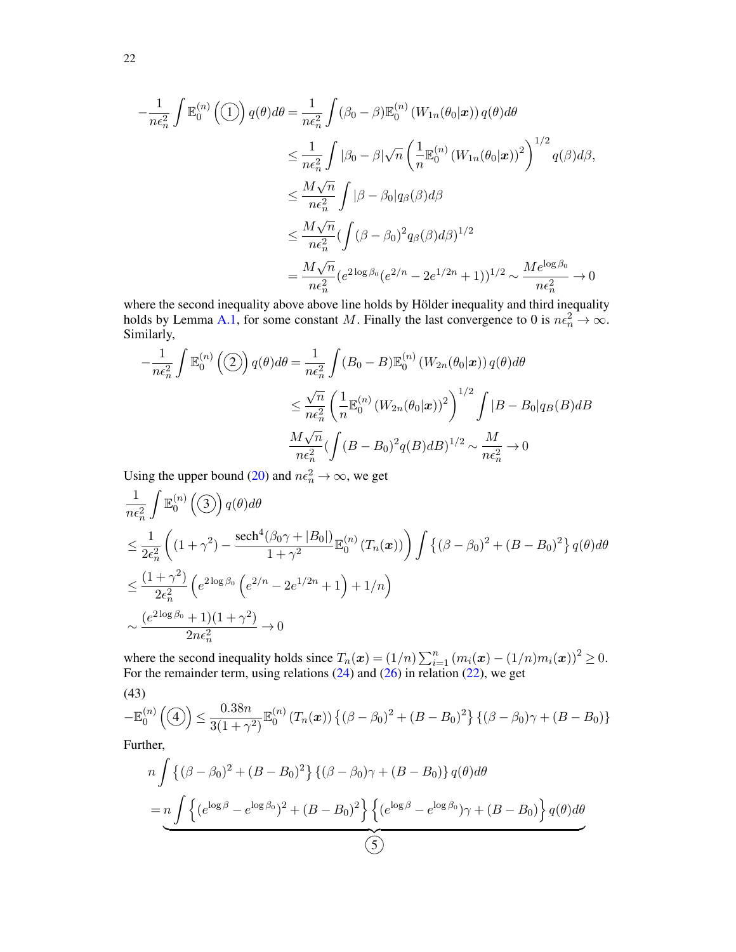$$
-\frac{1}{n\epsilon_n^2} \int \mathbb{E}_0^{(n)}\left(\frac{1}{2}\right) q(\theta) d\theta = \frac{1}{n\epsilon_n^2} \int (\beta_0 - \beta) \mathbb{E}_0^{(n)}\left(W_{1n}(\theta_0|\mathbf{x})\right) q(\theta) d\theta
$$
  
\n
$$
\leq \frac{1}{n\epsilon_n^2} \int |\beta_0 - \beta| \sqrt{n} \left(\frac{1}{n} \mathbb{E}_0^{(n)}\left(W_{1n}(\theta_0|\mathbf{x})\right)^2\right)^{1/2} q(\beta) d\beta,
$$
  
\n
$$
\leq \frac{M\sqrt{n}}{n\epsilon_n^2} \int |\beta - \beta_0| q(\beta) d\beta
$$
  
\n
$$
\leq \frac{M\sqrt{n}}{n\epsilon_n^2} \left(\int (\beta - \beta_0)^2 q(\beta) d\beta\right)^{1/2}
$$
  
\n
$$
= \frac{M\sqrt{n}}{n\epsilon_n^2} \left(e^{2\log\beta_0} (e^{2/n} - 2e^{1/2n} + 1)\right)^{1/2} \sim \frac{Me^{\log\beta_0}}{n\epsilon_n^2} \to 0
$$

where the second inequality above above line holds by Hölder inequality and third inequality holds by Lemma [A.1,](#page-11-5) for some constant M. Finally the last convergence to 0 is  $n\epsilon_n^2 \to \infty$ . Similarly,

$$
-\frac{1}{n\epsilon_n^2} \int \mathbb{E}_0^{(n)}\left(\frac{a}{2}\right) q(\theta) d\theta = \frac{1}{n\epsilon_n^2} \int (B_0 - B) \mathbb{E}_0^{(n)}\left(W_{2n}(\theta_0|\mathbf{x})\right) q(\theta) d\theta
$$
  

$$
\leq \frac{\sqrt{n}}{n\epsilon_n^2} \left(\frac{1}{n} \mathbb{E}_0^{(n)}\left(W_{2n}(\theta_0|\mathbf{x})\right)^2\right)^{1/2} \int |B - B_0| q_B(B) dB
$$
  

$$
\frac{M\sqrt{n}}{n\epsilon_n^2} \left(\int (B - B_0)^2 q(B) dB\right)^{1/2} \sim \frac{M}{n\epsilon_n^2} \to 0
$$

Using the upper bound [\(20\)](#page-12-2) and  $n\epsilon_n^2 \to \infty$ , we get

$$
\frac{1}{n\epsilon_n^2} \int \mathbb{E}_0^{(n)}(\mathfrak{I}) q(\theta) d\theta
$$
\n
$$
\leq \frac{1}{2\epsilon_n^2} \left( (1+\gamma^2) - \frac{\operatorname{sech}^4(\beta_0\gamma + |B_0|)}{1+\gamma^2} \mathbb{E}_0^{(n)}(T_n(\boldsymbol{x})) \right) \int \left\{ (\beta - \beta_0)^2 + (B - B_0)^2 \right\} q(\theta) d\theta
$$
\n
$$
\leq \frac{(1+\gamma^2)}{2\epsilon_n^2} \left( e^{2\log\beta_0} \left( e^{2/n} - 2e^{1/2n} + 1 \right) + 1/n \right)
$$
\n
$$
\sim \frac{(e^{2\log\beta_0} + 1)(1+\gamma^2)}{2n\epsilon_n^2} \to 0
$$

where the second inequality holds since  $T_n(\boldsymbol{x}) = (1/n) \sum_{i=1}^n (m_i(\boldsymbol{x}) - (1/n)m_i(\boldsymbol{x}))^2 \ge 0$ . For the remainder term, using relations  $(24)$  and  $(26)$  in relation  $(22)$ , we get

<span id="page-21-0"></span>(43)  

$$
-\mathbb{E}_0^{(n)}(\mathbb{I}) \leq \frac{0.38n}{3(1+\gamma^2)} \mathbb{E}_0^{(n)}(T_n(\boldsymbol{x})) \left\{ (\beta - \beta_0)^2 + (B - B_0)^2 \right\} \left\{ (\beta - \beta_0) \gamma + (B - B_0) \right\}
$$

Further,

$$
n\int \left\{ (\beta - \beta_0)^2 + (B - B_0)^2 \right\} \left\{ (\beta - \beta_0) \gamma + (B - B_0) \right\} q(\theta) d\theta
$$
  
= 
$$
n \int \left\{ (e^{\log \beta} - e^{\log \beta_0})^2 + (B - B_0)^2 \right\} \left\{ (e^{\log \beta} - e^{\log \beta_0}) \gamma + (B - B_0) \right\} q(\theta) d\theta
$$
  
5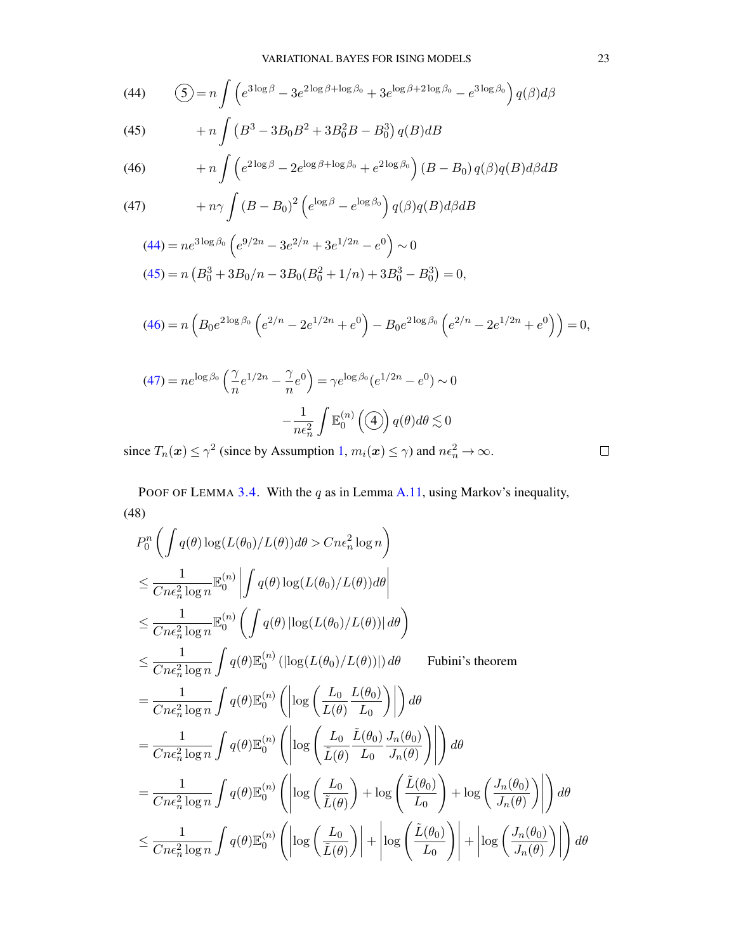<span id="page-22-0"></span>(44) 
$$
\left(5\right) = n \int \left(e^{3\log\beta} - 3e^{2\log\beta + \log\beta_0} + 3e^{\log\beta + 2\log\beta_0} - e^{3\log\beta_0}\right) q(\beta) d\beta
$$

<span id="page-22-1"></span>(45) 
$$
+ n \int (B^3 - 3B_0 B^2 + 3B_0^2 B - B_0^3) q(B) dB
$$

<span id="page-22-2"></span>(46) 
$$
+ n \int \left( e^{2 \log \beta} - 2e^{\log \beta + \log \beta_0} + e^{2 \log \beta_0} \right) (B - B_0) q(\beta) q(B) d\beta dB
$$

<span id="page-22-3"></span>(47) 
$$
+ n\gamma \int (B - B_0)^2 \left( e^{\log \beta} - e^{\log \beta_0} \right) q(\beta) q(B) d\beta dB
$$

$$
(44) = ne^{3\log\beta_0} \left( e^{9/2n} - 3e^{2/n} + 3e^{1/2n} - e^0 \right) \sim 0
$$
  

$$
(45) = n \left( B_0^3 + 3B_0/n - 3B_0(B_0^2 + 1/n) + 3B_0^3 - B_0^3 \right) = 0,
$$

$$
(46) = n \left( B_0 e^{2 \log \beta_0} \left( e^{2/n} - 2e^{1/2n} + e^0 \right) - B_0 e^{2 \log \beta_0} \left( e^{2/n} - 2e^{1/2n} + e^0 \right) \right) = 0,
$$

$$
(47) = ne^{\log \beta_0} \left(\frac{\gamma}{n} e^{1/2n} - \frac{\gamma}{n} e^0\right) = \gamma e^{\log \beta_0} (e^{1/2n} - e^0) \sim 0
$$

$$
-\frac{1}{n\epsilon_n^2} \int \mathbb{E}_0^{(n)}\left(\frac{\gamma}{n}\right) q(\theta) d\theta \lesssim 0
$$

since  $T_n(x) \le \gamma^2$  (since by Assumption [1,](#page-5-0)  $m_i(x) \le \gamma$ ) and  $n\epsilon_n^2 \to \infty$ .

POOF OF LEMMA [3.4.](#page-6-1) With the  $q$  as in Lemma [A.11,](#page-20-2) using Markov's inequality, (48)

$$
P_0^n \left( \int q(\theta) \log(L(\theta_0)/L(\theta)) d\theta > Cn\epsilon_n^2 \log n \right)
$$
  
\n
$$
\leq \frac{1}{Cn\epsilon_n^2 \log n} \mathbb{E}_0^{(n)} \left| \int q(\theta) \log(L(\theta_0)/L(\theta)) d\theta \right|
$$
  
\n
$$
\leq \frac{1}{Cn\epsilon_n^2 \log n} \mathbb{E}_0^{(n)} \left( \int q(\theta) |\log(L(\theta_0)/L(\theta))| d\theta \right)
$$
  
\n
$$
\leq \frac{1}{Cn\epsilon_n^2 \log n} \int q(\theta) \mathbb{E}_0^{(n)} (|\log(L(\theta_0)/L(\theta))|) d\theta \qquad \text{Fubini's theorem}
$$
  
\n
$$
= \frac{1}{Cn\epsilon_n^2 \log n} \int q(\theta) \mathbb{E}_0^{(n)} \left( \left| \log \left( \frac{L_0}{L(\theta)} \frac{L(\theta_0)}{L_0} \right) \right| \right) d\theta
$$
  
\n
$$
= \frac{1}{Cn\epsilon_n^2 \log n} \int q(\theta) \mathbb{E}_0^{(n)} \left( \left| \log \left( \frac{L_0}{\tilde{L}(\theta)} \frac{\tilde{L}(\theta_0)}{L_0} \frac{J_n(\theta_0)}{J_n(\theta)} \right) \right| \right) d\theta
$$
  
\n
$$
= \frac{1}{Cn\epsilon_n^2 \log n} \int q(\theta) \mathbb{E}_0^{(n)} \left( \left| \log \left( \frac{L_0}{\tilde{L}(\theta)} \right) + \log \left( \frac{\tilde{L}(\theta_0)}{L_0} \right) + \log \left( \frac{J_n(\theta_0)}{J_n(\theta)} \right) \right| \right) d\theta
$$
  
\n
$$
\leq \frac{1}{Cn\epsilon_n^2 \log n} \int q(\theta) \mathbb{E}_0^{(n)} \left( \left| \log \left( \frac{L_0}{\tilde{L}(\theta)} \right) \right| + \left| \log \left( \frac{\tilde{L}(\theta_0)}{L_0} \right) \right| + \left| \log \left( \frac{J_n(\theta_0)}{J_n(\theta)} \right) \right| \right) d\theta
$$

 $\Box$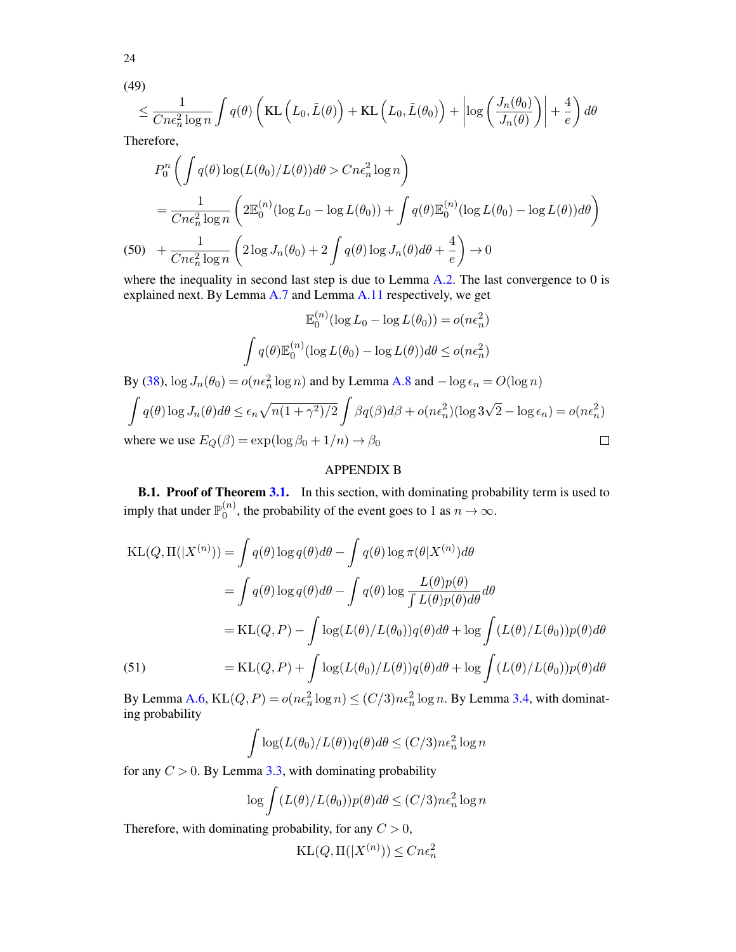$$
(49)
$$

24

$$
\leq \frac{1}{Cne_n^2\log n}\int q(\theta)\left(KL\left(L_0,\tilde{L}(\theta)\right)+KL\left(L_0,\tilde{L}(\theta_0)\right)+\left|\log\left(\frac{J_n(\theta_0)}{J_n(\theta)}\right)\right|+\frac{4}{e}\right)d\theta
$$

Therefore,

$$
P_0^n \left( \int q(\theta) \log(L(\theta_0)/L(\theta)) d\theta > Cn\epsilon_n^2 \log n \right)
$$
  
= 
$$
\frac{1}{Cn\epsilon_n^2 \log n} \left( 2\mathbb{E}_0^{(n)} (\log L_0 - \log L(\theta_0)) + \int q(\theta) \mathbb{E}_0^{(n)} (\log L(\theta_0) - \log L(\theta)) d\theta \right)
$$
  
(50) 
$$
+ \frac{1}{Cn\epsilon_n^2 \log n} \left( 2\log J_n(\theta_0) + 2 \int q(\theta) \log J_n(\theta) d\theta + \frac{4}{e} \right) \to 0
$$

where the inequality in second last step is due to Lemma [A.2.](#page-11-7) The last convergence to 0 is explained next. By Lemma [A.7](#page-16-3) and Lemma [A.11](#page-20-2) respectively, we get

$$
\mathbb{E}_0^{(n)}(\log L_0 - \log L(\theta_0)) = o(n\epsilon_n^2)
$$

$$
\int q(\theta) \mathbb{E}_0^{(n)}(\log L(\theta_0) - \log L(\theta))d\theta \le o(n\epsilon_n^2)
$$

By [\(38\)](#page-19-1),  $\log J_n(\theta_0) = o(n\epsilon_n^2 \log n)$  and by Lemma [A.8](#page-17-1) and  $-\log \epsilon_n = O(\log n)$ 

$$
\int q(\theta) \log J_n(\theta) d\theta \le \epsilon_n \sqrt{n(1+\gamma^2)/2} \int \beta q(\beta) d\beta + o(n\epsilon_n^2) (\log 3\sqrt{2} - \log \epsilon_n) = o(n\epsilon_n^2)
$$
  
where we use  $E_Q(\beta) = \exp(\log \beta_0 + 1/n) \to \beta_0$ 

# APPENDIX B

<span id="page-23-0"></span>**B.1. Proof of Theorem [3.1.](#page-5-4)** In this section, with dominating probability term is used to imply that under  $\mathbb{P}_0^{(n)}$  $\chi_0^{(n)}$ , the probability of the event goes to 1 as  $n \to \infty$ .

KL(Q, \Pi(|X^{(n)})) = 
$$
\int q(\theta) \log q(\theta) d\theta - \int q(\theta) \log \pi(\theta | X^{(n)}) d\theta
$$
  
\n
$$
= \int q(\theta) \log q(\theta) d\theta - \int q(\theta) \log \frac{L(\theta) p(\theta)}{\int L(\theta) p(\theta) d\theta} d\theta
$$
\n
$$
= KL(Q, P) - \int \log(L(\theta) / L(\theta_0)) q(\theta) d\theta + \log \int (L(\theta) / L(\theta_0)) p(\theta) d\theta
$$
\n(51) 
$$
= KL(Q, P) + \int \log(L(\theta_0) / L(\theta)) q(\theta) d\theta + \log \int (L(\theta) / L(\theta_0)) p(\theta) d\theta
$$

By Lemma [A.6,](#page-13-4)  $KL(Q, P) = o(n\epsilon_n^2 \log n) \le (C/3)n\epsilon_n^2 \log n$ . By Lemma [3.4,](#page-6-1) with dominating probability

$$
\int \log(L(\theta_0)/L(\theta))q(\theta)d\theta \le (C/3)n\epsilon_n^2 \log n
$$

for any  $C > 0$ . By Lemma [3.3,](#page-6-0) with dominating probability

$$
\log \int (L(\theta)/L(\theta_0)) p(\theta) d\theta \le (C/3) n \epsilon_n^2 \log n
$$

Therefore, with dominating probability, for any  $C > 0$ ,

$$
\text{KL}(Q, \Pi(|X^{(n)})) \le Cn\epsilon_n^2
$$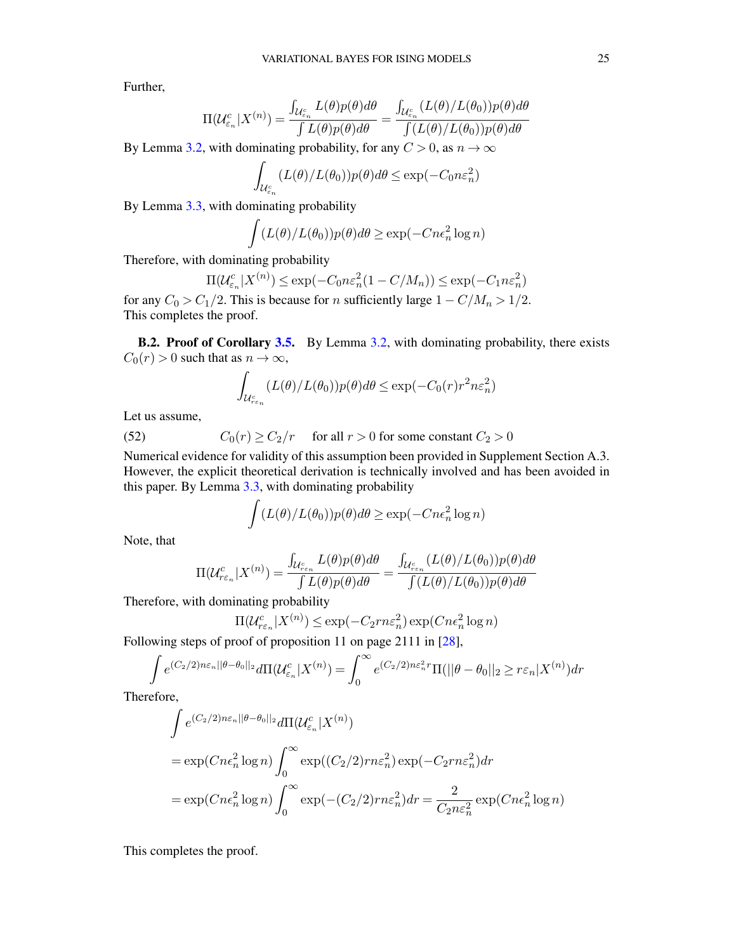Further,

$$
\Pi(\mathcal{U}_{\varepsilon_n}^c | X^{(n)}) = \frac{\int_{\mathcal{U}_{\varepsilon_n}^c} L(\theta) p(\theta) d\theta}{\int L(\theta) p(\theta) d\theta} = \frac{\int_{\mathcal{U}_{\varepsilon_n}^c} (L(\theta) / L(\theta_0)) p(\theta) d\theta}{\int (L(\theta) / L(\theta_0)) p(\theta) d\theta}
$$

By Lemma [3.2,](#page-5-3) with dominating probability, for any  $C > 0$ , as  $n \to \infty$ 

$$
\int_{\mathcal{U}_{\varepsilon_n}^c} (L(\theta)/L(\theta_0)) p(\theta) d\theta \le \exp(-C_0 n \varepsilon_n^2)
$$

By Lemma [3.3,](#page-6-0) with dominating probability

$$
\int (L(\theta)/L(\theta_0))p(\theta)d\theta \ge \exp(-Cn\epsilon_n^2 \log n)
$$

Therefore, with dominating probability

$$
\Pi(\mathcal{U}_{\varepsilon_n}^c | X^{(n)}) \le \exp(-C_0 n \varepsilon_n^2 (1 - C/M_n)) \le \exp(-C_1 n \varepsilon_n^2)
$$

for any  $C_0 > C_1/2$ . This is because for n sufficiently large  $1 - C/M_n > 1/2$ . This completes the proof.

**B.2. Proof of Corollary [3.5.](#page-7-1)** By Lemma [3.2,](#page-5-3) with dominating probability, there exists  $C_0(r) > 0$  such that as  $n \to \infty$ ,

$$
\int_{\mathcal{U}_{r\varepsilon_n}^c} (L(\theta)/L(\theta_0)) p(\theta) d\theta \le \exp(-C_0(r) r^2 n \varepsilon_n^2)
$$

<span id="page-24-0"></span>Let us assume,

(52) 
$$
C_0(r) \ge C_2/r
$$
 for all  $r > 0$  for some constant  $C_2 > 0$ 

Numerical evidence for validity of this assumption been provided in Supplement Section A.3. However, the explicit theoretical derivation is technically involved and has been avoided in this paper. By Lemma [3.3,](#page-6-0) with dominating probability

$$
\int (L(\theta)/L(\theta_0))p(\theta)d\theta \ge \exp(-Cn\epsilon_n^2 \log n)
$$

Note, that

$$
\Pi(\mathcal{U}_{r\varepsilon_n}^c | X^{(n)}) = \frac{\int_{\mathcal{U}_{r\varepsilon_n}^c} L(\theta) p(\theta) d\theta}{\int L(\theta) p(\theta) d\theta} = \frac{\int_{\mathcal{U}_{r\varepsilon_n}^c} (L(\theta) / L(\theta_0)) p(\theta) d\theta}{\int (L(\theta) / L(\theta_0)) p(\theta) d\theta}
$$

Therefore, with dominating probability

$$
\Pi(\mathcal{U}_{r\varepsilon_n}^c | X^{(n)}) \le \exp(-C_2 r n \varepsilon_n^2) \exp(Cn \varepsilon_n^2 \log n)
$$

Following steps of proof of proposition 11 on page 2111 in [\[28\]](#page-26-4),

$$
\int e^{(C_2/2)n\varepsilon_n||\theta-\theta_0||_2} d\Pi(\mathcal{U}_{\varepsilon_n}^c|X^{(n)}) = \int_0^\infty e^{(C_2/2)n\varepsilon_n^2 r} \Pi(||\theta-\theta_0||_2 \ge r\varepsilon_n|X^{(n)}) dr
$$

Therefore,

$$
\int e^{(C_2/2)n\varepsilon_n ||\theta - \theta_0 ||_2} d\Pi(\mathcal{U}_{\varepsilon_n}^c | X^{(n)})
$$
\n
$$
= \exp(Cn\epsilon_n^2 \log n) \int_0^\infty \exp((C_2/2)rn\varepsilon_n^2) \exp(-C_2rn\varepsilon_n^2) dr
$$
\n
$$
= \exp(Cn\epsilon_n^2 \log n) \int_0^\infty \exp(-(C_2/2)rn\varepsilon_n^2) dr = \frac{2}{C_2n\varepsilon_n^2} \exp(Cn\varepsilon_n^2 \log n)
$$

This completes the proof.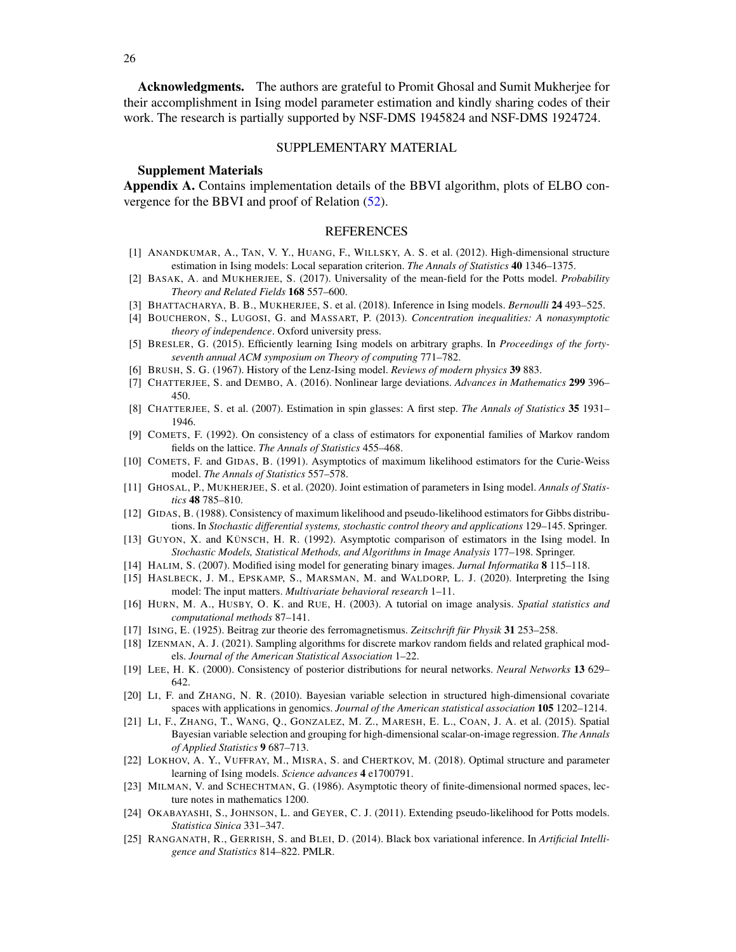Acknowledgments. The authors are grateful to Promit Ghosal and Sumit Mukherjee for their accomplishment in Ising model parameter estimation and kindly sharing codes of their work. The research is partially supported by NSF-DMS 1945824 and NSF-DMS 1924724.

### SUPPLEMENTARY MATERIAL

### Supplement Materials

Appendix A. Contains implementation details of the BBVI algorithm, plots of ELBO convergence for the BBVI and proof of Relation [\(52\)](#page-24-0).

#### REFERENCES

- <span id="page-25-3"></span>[1] ANANDKUMAR, A., TAN, V. Y., HUANG, F., WILLSKY, A. S. et al. (2012). High-dimensional structure estimation in Ising models: Local separation criterion. *The Annals of Statistics* 40 1346–1375.
- <span id="page-25-17"></span>[2] BASAK, A. and MUKHERJEE, S. (2017). Universality of the mean-field for the Potts model. *Probability Theory and Related Fields* 168 557–600.
- <span id="page-25-6"></span>[3] BHATTACHARYA, B. B., MUKHERJEE, S. et al. (2018). Inference in Ising models. *Bernoulli* 24 493–525.
- <span id="page-25-18"></span>[4] BOUCHERON, S., LUGOSI, G. and MASSART, P. (2013). *Concentration inequalities: A nonasymptotic theory of independence*. Oxford university press.
- <span id="page-25-4"></span>[5] BRESLER, G. (2015). Efficiently learning Ising models on arbitrary graphs. In *Proceedings of the fortyseventh annual ACM symposium on Theory of computing* 771–782.
- <span id="page-25-1"></span>[6] BRUSH, S. G. (1967). History of the Lenz-Ising model. *Reviews of modern physics* 39 883.
- <span id="page-25-23"></span>[7] CHATTERJEE, S. and DEMBO, A. (2016). Nonlinear large deviations. *Advances in Mathematics* 299 396– 450.
- <span id="page-25-7"></span>[8] CHATTERJEE, S. et al. (2007). Estimation in spin glasses: A first step. *The Annals of Statistics* 35 1931– 1946.
- <span id="page-25-8"></span>[9] COMETS, F. (1992). On consistency of a class of estimators for exponential families of Markov random fields on the lattice. *The Annals of Statistics* 455–468.
- <span id="page-25-9"></span>[10] COMETS, F. and GIDAS, B. (1991). Asymptotics of maximum likelihood estimators for the Curie-Weiss model. *The Annals of Statistics* 557–578.
- <span id="page-25-10"></span>[11] GHOSAL, P., MUKHERJEE, S. et al. (2020). Joint estimation of parameters in Ising model. *Annals of Statistics* 48 785–810.
- <span id="page-25-11"></span>[12] GIDAS, B. (1988). Consistency of maximum likelihood and pseudo-likelihood estimators for Gibbs distributions. In *Stochastic differential systems, stochastic control theory and applications* 129–145. Springer.
- <span id="page-25-12"></span>[13] GUYON, X. and KÜNSCH, H. R. (1992). Asymptotic comparison of estimators in the Ising model. In *Stochastic Models, Statistical Methods, and Algorithms in Image Analysis* 177–198. Springer.
- <span id="page-25-20"></span>[14] HALIM, S. (2007). Modified ising model for generating binary images. *Jurnal Informatika* 8 115–118.
- <span id="page-25-2"></span>[15] HASLBECK, J. M., EPSKAMP, S., MARSMAN, M. and WALDORP, L. J. (2020). Interpreting the Ising model: The input matters. *Multivariate behavioral research* 1–11.
- <span id="page-25-21"></span>[16] HURN, M. A., HUSBY, O. K. and RUE, H. (2003). A tutorial on image analysis. *Spatial statistics and computational methods* 87–141.
- <span id="page-25-0"></span>[17] ISING, E. (1925). Beitrag zur theorie des ferromagnetismus. *Zeitschrift für Physik* 31 253–258.
- <span id="page-25-19"></span>[18] IZENMAN, A. J. (2021). Sampling algorithms for discrete markov random fields and related graphical models. *Journal of the American Statistical Association* 1–22.
- <span id="page-25-22"></span>[19] LEE, H. K. (2000). Consistency of posterior distributions for neural networks. *Neural Networks* 13 629– 642.
- <span id="page-25-13"></span>[20] LI, F. and ZHANG, N. R. (2010). Bayesian variable selection in structured high-dimensional covariate spaces with applications in genomics. *Journal of the American statistical association* 105 1202–1214.
- <span id="page-25-14"></span>[21] LI, F., ZHANG, T., WANG, Q., GONZALEZ, M. Z., MARESH, E. L., COAN, J. A. et al. (2015). Spatial Bayesian variable selection and grouping for high-dimensional scalar-on-image regression. *The Annals of Applied Statistics* 9 687–713.
- <span id="page-25-5"></span>[22] LOKHOV, A. Y., VUFFRAY, M., MISRA, S. and CHERTKOV, M. (2018). Optimal structure and parameter learning of Ising models. *Science advances* 4 e1700791.
- <span id="page-25-24"></span>[23] MILMAN, V. and SCHECHTMAN, G. (1986). Asymptotic theory of finite-dimensional normed spaces, lecture notes in mathematics 1200.
- <span id="page-25-15"></span>[24] OKABAYASHI, S., JOHNSON, L. and GEYER, C. J. (2011). Extending pseudo-likelihood for Potts models. *Statistica Sinica* 331–347.
- <span id="page-25-16"></span>[25] RANGANATH, R., GERRISH, S. and BLEI, D. (2014). Black box variational inference. In *Artificial Intelligence and Statistics* 814–822. PMLR.